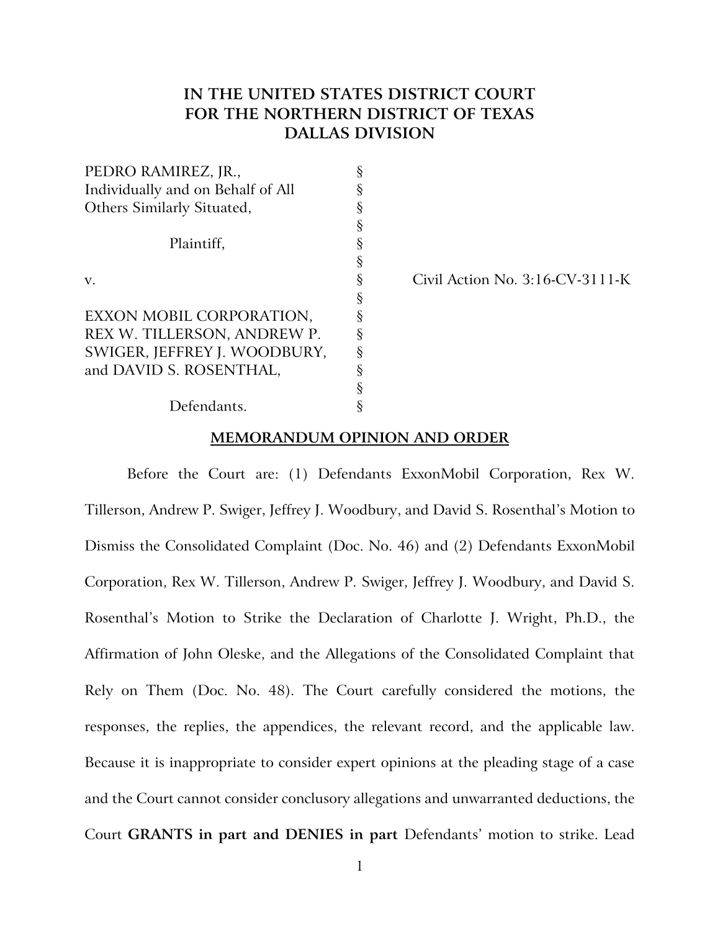# **IN THE UNITED STATES DISTRICT COURT FOR THE NORTHERN DISTRICT OF TEXAS DALLAS DIVISION**

| PEDRO RAMIREZ, JR.,               |   |
|-----------------------------------|---|
| Individually and on Behalf of All | ş |
| Others Similarly Situated,        | ş |
|                                   | § |
| Plaintiff,                        | § |
|                                   | § |
| V.                                | § |
|                                   | § |
| EXXON MOBIL CORPORATION,          | § |
| REX W. TILLERSON, ANDREW P.       | ş |
| SWIGER, JEFFREY J. WOODBURY,      | ş |
| and DAVID S. ROSENTHAL,           | § |
|                                   | § |
| Defendants.                       |   |

 $Civil$  Action No.  $3:16-CV-3111-K$ 

# **MEMORANDUM OPINION AND ORDER**

Before the Court are: (1) Defendants ExxonMobil Corporation, Rex W. Tillerson, Andrew P. Swiger, Jeffrey J. Woodbury, and David S. Rosenthal's Motion to Dismiss the Consolidated Complaint (Doc. No. 46) and (2) Defendants ExxonMobil Corporation, Rex W. Tillerson, Andrew P. Swiger, Jeffrey J. Woodbury, and David S. Rosenthal's Motion to Strike the Declaration of Charlotte J. Wright, Ph.D., the Affirmation of John Oleske, and the Allegations of the Consolidated Complaint that Rely on Them (Doc. No. 48). The Court carefully considered the motions, the responses, the replies, the appendices, the relevant record, and the applicable law. Because it is inappropriate to consider expert opinions at the pleading stage of a case and the Court cannot consider conclusory allegations and unwarranted deductions, the Court **GRANTS in part and DENIES in part** Defendants' motion to strike. Lead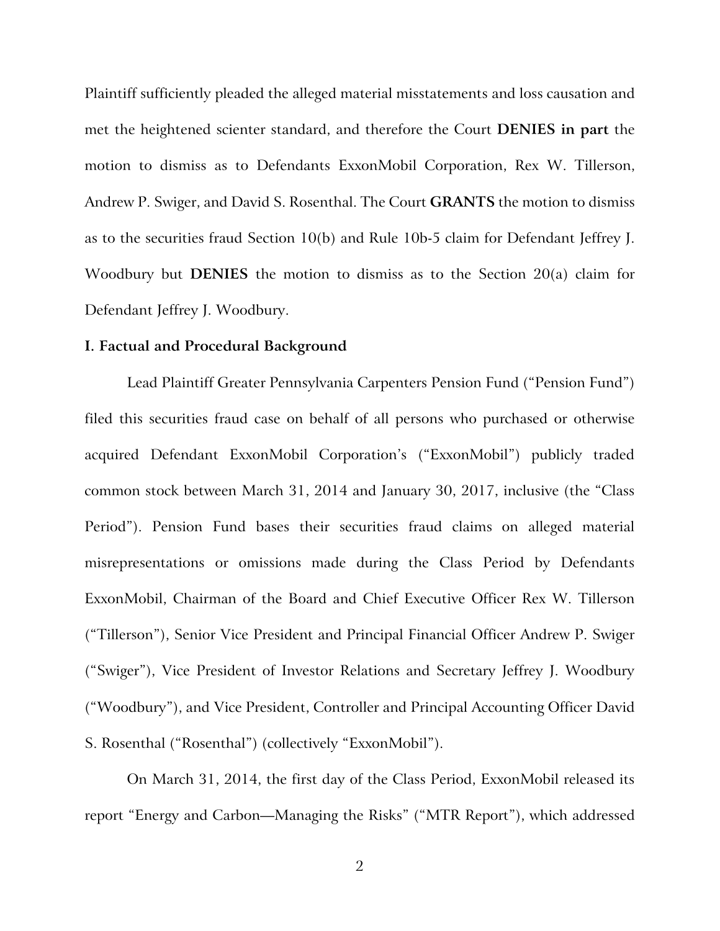Plaintiff sufficiently pleaded the alleged material misstatements and loss causation and met the heightened scienter standard, and therefore the Court **DENIES in part** the motion to dismiss as to Defendants ExxonMobil Corporation, Rex W. Tillerson, Andrew P. Swiger, and David S. Rosenthal. The Court **GRANTS** the motion to dismiss as to the securities fraud Section 10(b) and Rule 10b-5 claim for Defendant Jeffrey J. Woodbury but **DENIES** the motion to dismiss as to the Section 20(a) claim for Defendant Jeffrey J. Woodbury.

# **I. Factual and Procedural Background**

Lead Plaintiff Greater Pennsylvania Carpenters Pension Fund ("Pension Fund") filed this securities fraud case on behalf of all persons who purchased or otherwise acquired Defendant ExxonMobil Corporation's ("ExxonMobil") publicly traded common stock between March 31, 2014 and January 30, 2017, inclusive (the "Class Period"). Pension Fund bases their securities fraud claims on alleged material misrepresentations or omissions made during the Class Period by Defendants ExxonMobil, Chairman of the Board and Chief Executive Officer Rex W. Tillerson ("Tillerson"), Senior Vice President and Principal Financial Officer Andrew P. Swiger ("Swiger"), Vice President of Investor Relations and Secretary Jeffrey J. Woodbury ("Woodbury"), and Vice President, Controller and Principal Accounting Officer David S. Rosenthal ("Rosenthal") (collectively "ExxonMobil").

On March 31, 2014, the first day of the Class Period, ExxonMobil released its report "Energy and Carbon—Managing the Risks" ("MTR Report"), which addressed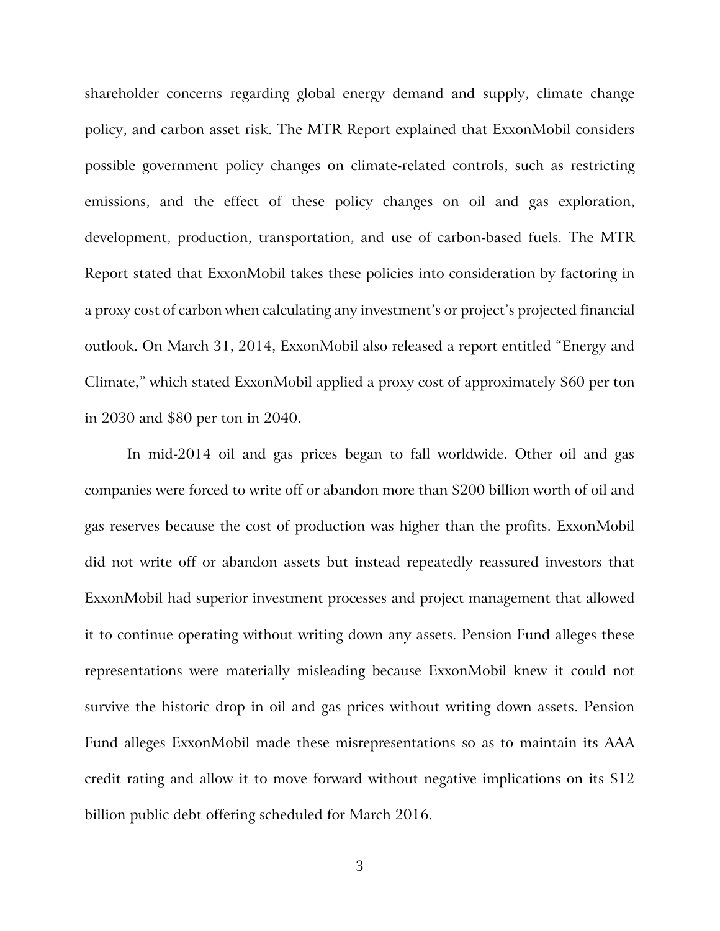shareholder concerns regarding global energy demand and supply, climate change policy, and carbon asset risk. The MTR Report explained that ExxonMobil considers possible government policy changes on climate-related controls, such as restricting emissions, and the effect of these policy changes on oil and gas exploration, development, production, transportation, and use of carbon-based fuels. The MTR Report stated that ExxonMobil takes these policies into consideration by factoring in a proxy cost of carbon when calculating any investment's or project's projected financial outlook. On March 31, 2014, ExxonMobil also released a report entitled "Energy and Climate," which stated ExxonMobil applied a proxy cost of approximately \$60 per ton in 2030 and \$80 per ton in 2040.

In mid-2014 oil and gas prices began to fall worldwide. Other oil and gas companies were forced to write off or abandon more than \$200 billion worth of oil and gas reserves because the cost of production was higher than the profits. ExxonMobil did not write off or abandon assets but instead repeatedly reassured investors that ExxonMobil had superior investment processes and project management that allowed it to continue operating without writing down any assets. Pension Fund alleges these representations were materially misleading because ExxonMobil knew it could not survive the historic drop in oil and gas prices without writing down assets. Pension Fund alleges ExxonMobil made these misrepresentations so as to maintain its AAA credit rating and allow it to move forward without negative implications on its \$12 billion public debt offering scheduled for March 2016.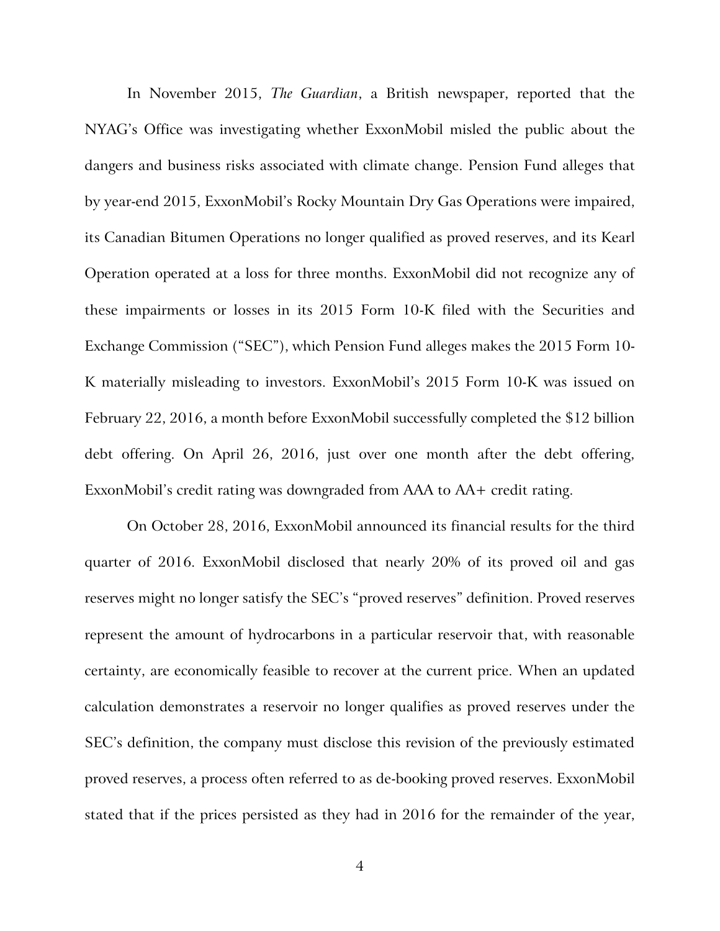In November 2015, *The Guardian*, a British newspaper, reported that the NYAG's Office was investigating whether ExxonMobil misled the public about the dangers and business risks associated with climate change. Pension Fund alleges that by year-end 2015, ExxonMobil's Rocky Mountain Dry Gas Operations were impaired, its Canadian Bitumen Operations no longer qualified as proved reserves, and its Kearl Operation operated at a loss for three months. ExxonMobil did not recognize any of these impairments or losses in its 2015 Form 10-K filed with the Securities and Exchange Commission ("SEC"), which Pension Fund alleges makes the 2015 Form 10- K materially misleading to investors. ExxonMobil's 2015 Form 10-K was issued on February 22, 2016, a month before ExxonMobil successfully completed the \$12 billion debt offering. On April 26, 2016, just over one month after the debt offering, ExxonMobil's credit rating was downgraded from AAA to AA+ credit rating.

On October 28, 2016, ExxonMobil announced its financial results for the third quarter of 2016. ExxonMobil disclosed that nearly 20% of its proved oil and gas reserves might no longer satisfy the SEC's "proved reserves" definition. Proved reserves represent the amount of hydrocarbons in a particular reservoir that, with reasonable certainty, are economically feasible to recover at the current price. When an updated calculation demonstrates a reservoir no longer qualifies as proved reserves under the SEC's definition, the company must disclose this revision of the previously estimated proved reserves, a process often referred to as de-booking proved reserves. ExxonMobil stated that if the prices persisted as they had in 2016 for the remainder of the year,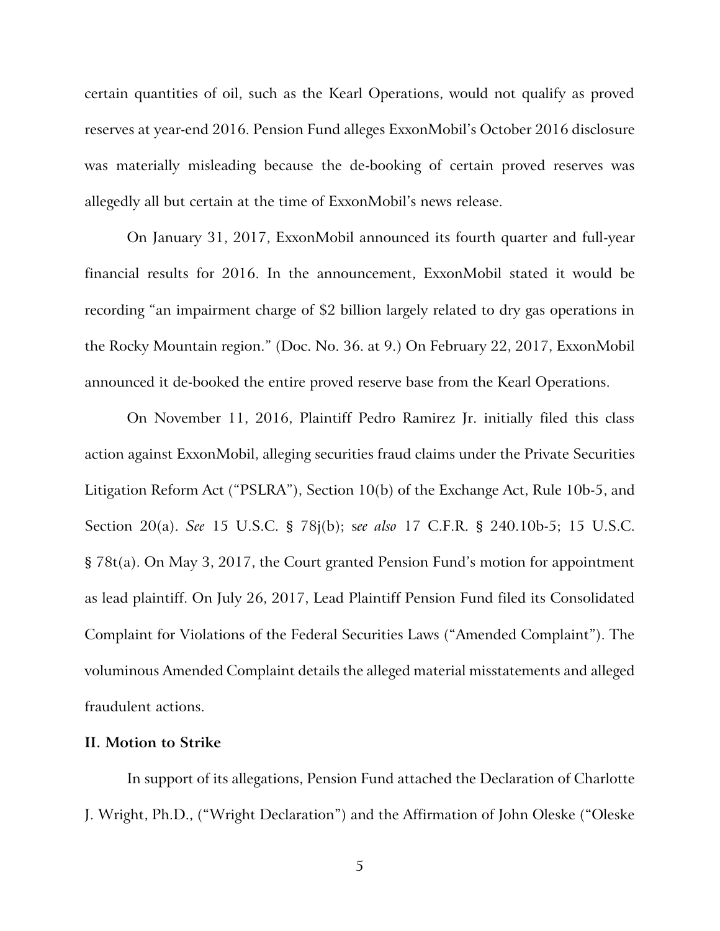certain quantities of oil, such as the Kearl Operations, would not qualify as proved reserves at year-end 2016. Pension Fund alleges ExxonMobil's October 2016 disclosure was materially misleading because the de-booking of certain proved reserves was allegedly all but certain at the time of ExxonMobil's news release.

On January 31, 2017, ExxonMobil announced its fourth quarter and full-year financial results for 2016. In the announcement, ExxonMobil stated it would be recording "an impairment charge of \$2 billion largely related to dry gas operations in the Rocky Mountain region." (Doc. No. 36. at 9.) On February 22, 2017, ExxonMobil announced it de-booked the entire proved reserve base from the Kearl Operations.

On November 11, 2016, Plaintiff Pedro Ramirez Jr. initially filed this class action against ExxonMobil, alleging securities fraud claims under the Private Securities Litigation Reform Act ("PSLRA"), Section 10(b) of the Exchange Act, Rule 10b-5, and Section 20(a). *See* 15 U.S.C. § 78j(b); s*ee also* 17 C.F.R. § 240.10b-5; 15 U.S.C. § 78t(a). On May 3, 2017, the Court granted Pension Fund's motion for appointment as lead plaintiff. On July 26, 2017, Lead Plaintiff Pension Fund filed its Consolidated Complaint for Violations of the Federal Securities Laws ("Amended Complaint"). The voluminous Amended Complaint details the alleged material misstatements and alleged fraudulent actions.

# **II. Motion to Strike**

In support of its allegations, Pension Fund attached the Declaration of Charlotte J. Wright, Ph.D., ("Wright Declaration") and the Affirmation of John Oleske ("Oleske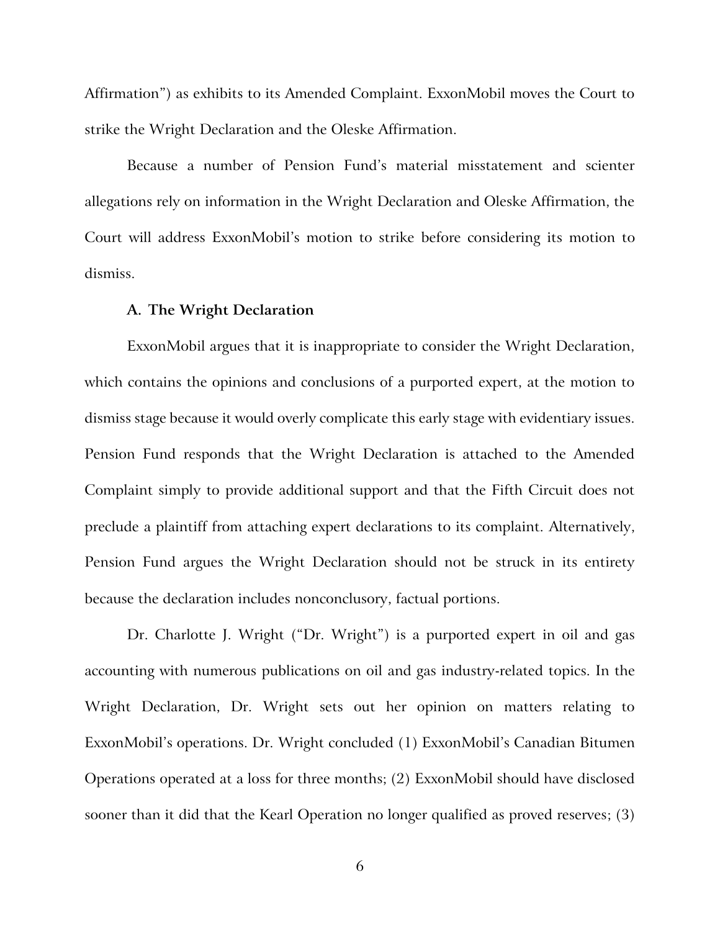Affirmation") as exhibits to its Amended Complaint. ExxonMobil moves the Court to strike the Wright Declaration and the Oleske Affirmation.

Because a number of Pension Fund's material misstatement and scienter allegations rely on information in the Wright Declaration and Oleske Affirmation, the Court will address ExxonMobil's motion to strike before considering its motion to dismiss.

## **A. The Wright Declaration**

ExxonMobil argues that it is inappropriate to consider the Wright Declaration, which contains the opinions and conclusions of a purported expert, at the motion to dismiss stage because it would overly complicate this early stage with evidentiary issues. Pension Fund responds that the Wright Declaration is attached to the Amended Complaint simply to provide additional support and that the Fifth Circuit does not preclude a plaintiff from attaching expert declarations to its complaint. Alternatively, Pension Fund argues the Wright Declaration should not be struck in its entirety because the declaration includes nonconclusory, factual portions.

Dr. Charlotte J. Wright ("Dr. Wright") is a purported expert in oil and gas accounting with numerous publications on oil and gas industry-related topics. In the Wright Declaration, Dr. Wright sets out her opinion on matters relating to ExxonMobil's operations. Dr. Wright concluded (1) ExxonMobil's Canadian Bitumen Operations operated at a loss for three months; (2) ExxonMobil should have disclosed sooner than it did that the Kearl Operation no longer qualified as proved reserves; (3)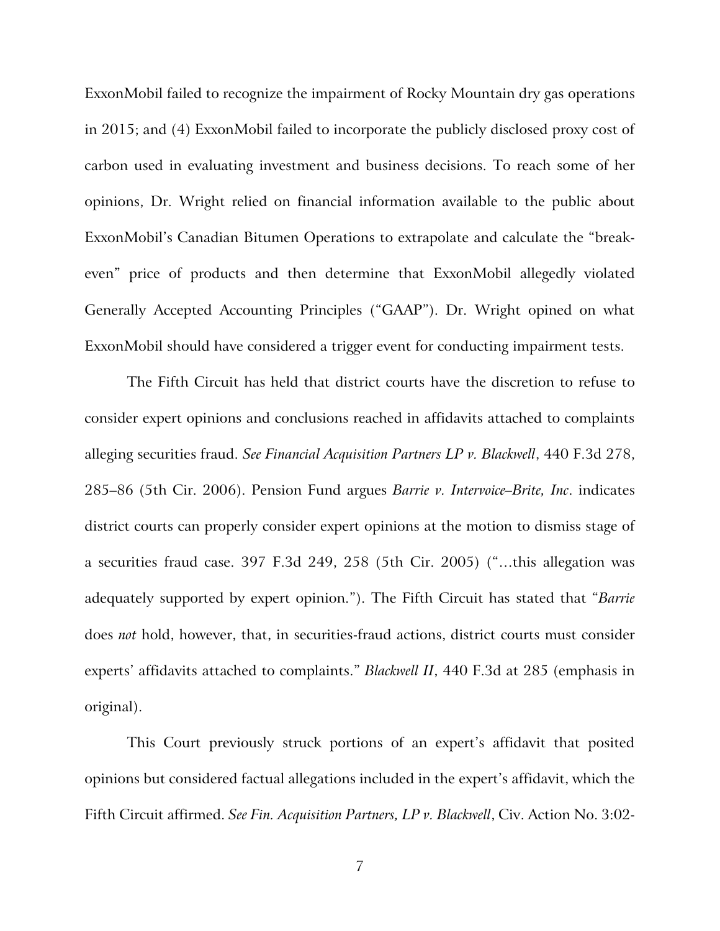ExxonMobil failed to recognize the impairment of Rocky Mountain dry gas operations in 2015; and (4) ExxonMobil failed to incorporate the publicly disclosed proxy cost of carbon used in evaluating investment and business decisions. To reach some of her opinions, Dr. Wright relied on financial information available to the public about ExxonMobil's Canadian Bitumen Operations to extrapolate and calculate the "breakeven" price of products and then determine that ExxonMobil allegedly violated Generally Accepted Accounting Principles ("GAAP"). Dr. Wright opined on what ExxonMobil should have considered a trigger event for conducting impairment tests.

The Fifth Circuit has held that district courts have the discretion to refuse to consider expert opinions and conclusions reached in affidavits attached to complaints alleging securities fraud. *See Financial Acquisition Partners LP v. Blackwell*, 440 F.3d 278, 285–86 (5th Cir. 2006). Pension Fund argues *Barrie v. Intervoice–Brite, Inc*. indicates district courts can properly consider expert opinions at the motion to dismiss stage of a securities fraud case. 397 F.3d 249, 258 (5th Cir. 2005) ("…this allegation was adequately supported by expert opinion."). The Fifth Circuit has stated that "*Barrie*  does *not* hold, however, that, in securities-fraud actions, district courts must consider experts' affidavits attached to complaints." *Blackwell II*, 440 F.3d at 285 (emphasis in original).

This Court previously struck portions of an expert's affidavit that posited opinions but considered factual allegations included in the expert's affidavit, which the Fifth Circuit affirmed. *See Fin. Acquisition Partners, LP v. Blackwell*, Civ. Action No. 3:02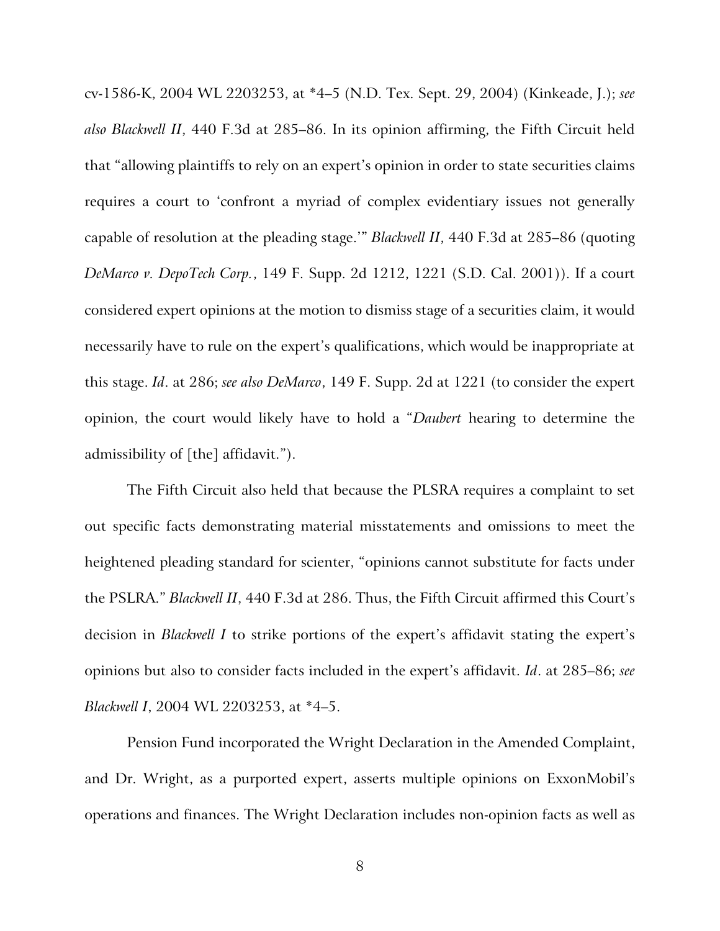cv-1586-K, 2004 WL 2203253, at \*4–5 (N.D. Tex. Sept. 29, 2004) (Kinkeade, J.); *see also Blackwell II*, 440 F.3d at 285–86. In its opinion affirming, the Fifth Circuit held that "allowing plaintiffs to rely on an expert's opinion in order to state securities claims requires a court to 'confront a myriad of complex evidentiary issues not generally capable of resolution at the pleading stage.'" *Blackwell II*, 440 F.3d at 285–86 (quoting *DeMarco v. DepoTech Corp.*, 149 F. Supp. 2d 1212, 1221 (S.D. Cal. 2001)). If a court considered expert opinions at the motion to dismiss stage of a securities claim, it would necessarily have to rule on the expert's qualifications, which would be inappropriate at this stage. *Id*. at 286; *see also DeMarco*, 149 F. Supp. 2d at 1221 (to consider the expert opinion, the court would likely have to hold a "*Daubert* hearing to determine the admissibility of [the] affidavit.").

The Fifth Circuit also held that because the PLSRA requires a complaint to set out specific facts demonstrating material misstatements and omissions to meet the heightened pleading standard for scienter, "opinions cannot substitute for facts under the PSLRA." *Blackwell II*, 440 F.3d at 286. Thus, the Fifth Circuit affirmed this Court's decision in *Blackwell I* to strike portions of the expert's affidavit stating the expert's opinions but also to consider facts included in the expert's affidavit. *Id*. at 285–86; *see Blackwell I*, 2004 WL 2203253, at \*4–5.

Pension Fund incorporated the Wright Declaration in the Amended Complaint, and Dr. Wright, as a purported expert, asserts multiple opinions on ExxonMobil's operations and finances. The Wright Declaration includes non-opinion facts as well as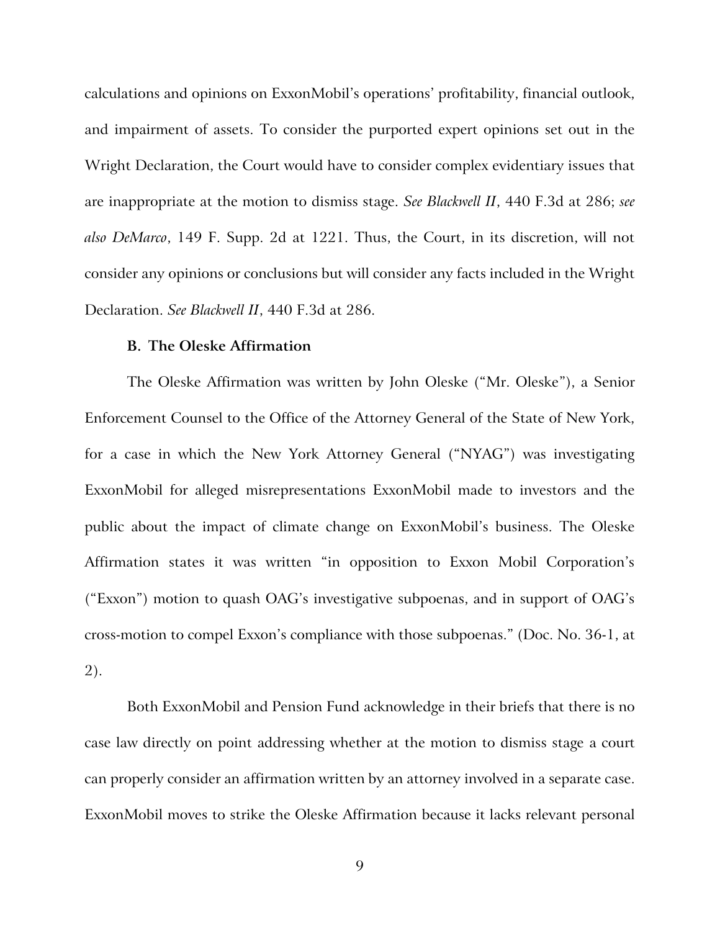calculations and opinions on ExxonMobil's operations' profitability, financial outlook, and impairment of assets. To consider the purported expert opinions set out in the Wright Declaration, the Court would have to consider complex evidentiary issues that are inappropriate at the motion to dismiss stage. *See Blackwell II*, 440 F.3d at 286; *see also DeMarco*, 149 F. Supp. 2d at 1221. Thus, the Court, in its discretion, will not consider any opinions or conclusions but will consider any facts included in the Wright Declaration. *See Blackwell II*, 440 F.3d at 286.

## **B. The Oleske Affirmation**

The Oleske Affirmation was written by John Oleske ("Mr. Oleske"), a Senior Enforcement Counsel to the Office of the Attorney General of the State of New York, for a case in which the New York Attorney General ("NYAG") was investigating ExxonMobil for alleged misrepresentations ExxonMobil made to investors and the public about the impact of climate change on ExxonMobil's business. The Oleske Affirmation states it was written "in opposition to Exxon Mobil Corporation's ("Exxon") motion to quash OAG's investigative subpoenas, and in support of OAG's cross-motion to compel Exxon's compliance with those subpoenas." (Doc. No. 36-1, at 2).

Both ExxonMobil and Pension Fund acknowledge in their briefs that there is no case law directly on point addressing whether at the motion to dismiss stage a court can properly consider an affirmation written by an attorney involved in a separate case. ExxonMobil moves to strike the Oleske Affirmation because it lacks relevant personal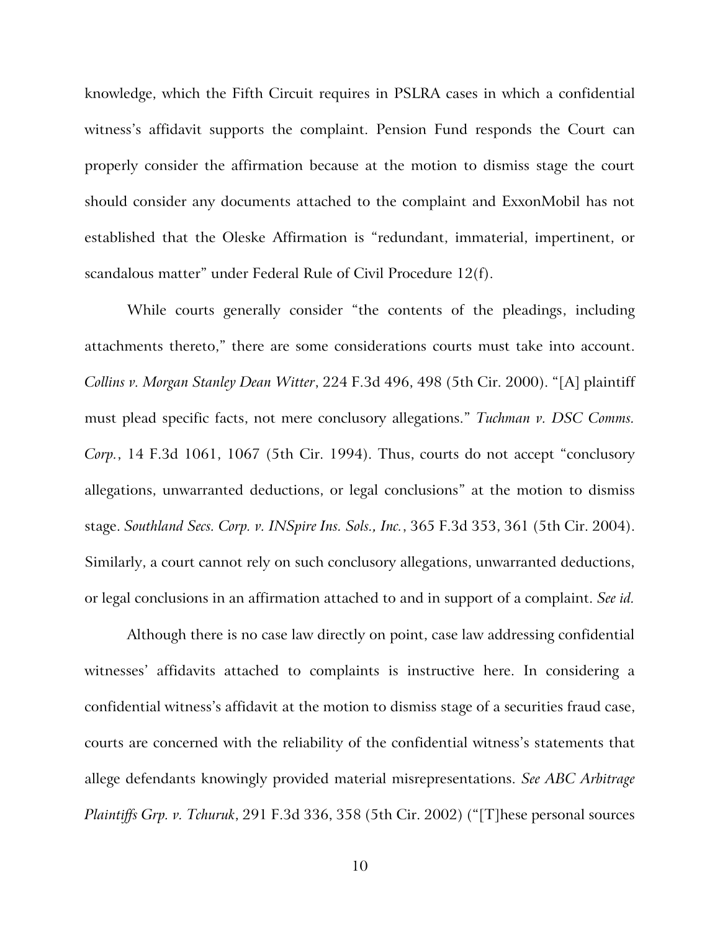knowledge, which the Fifth Circuit requires in PSLRA cases in which a confidential witness's affidavit supports the complaint. Pension Fund responds the Court can properly consider the affirmation because at the motion to dismiss stage the court should consider any documents attached to the complaint and ExxonMobil has not established that the Oleske Affirmation is "redundant, immaterial, impertinent, or scandalous matter" under Federal Rule of Civil Procedure 12(f).

While courts generally consider "the contents of the pleadings, including attachments thereto," there are some considerations courts must take into account. *Collins v. Morgan Stanley Dean Witter*, 224 F.3d 496, 498 (5th Cir. 2000). "[A] plaintiff must plead specific facts, not mere conclusory allegations." *Tuchman v. DSC Comms. Corp.*, 14 F.3d 1061, 1067 (5th Cir. 1994). Thus, courts do not accept "conclusory allegations, unwarranted deductions, or legal conclusions" at the motion to dismiss stage. *Southland Secs. Corp. v. INSpire Ins. Sols., Inc.*, 365 F.3d 353, 361 (5th Cir. 2004). Similarly, a court cannot rely on such conclusory allegations, unwarranted deductions, or legal conclusions in an affirmation attached to and in support of a complaint. *See id.* 

Although there is no case law directly on point, case law addressing confidential witnesses' affidavits attached to complaints is instructive here. In considering a confidential witness's affidavit at the motion to dismiss stage of a securities fraud case, courts are concerned with the reliability of the confidential witness's statements that allege defendants knowingly provided material misrepresentations. *See ABC Arbitrage Plaintiffs Grp. v. Tchuruk*, 291 F.3d 336, 358 (5th Cir. 2002) ("[T]hese personal sources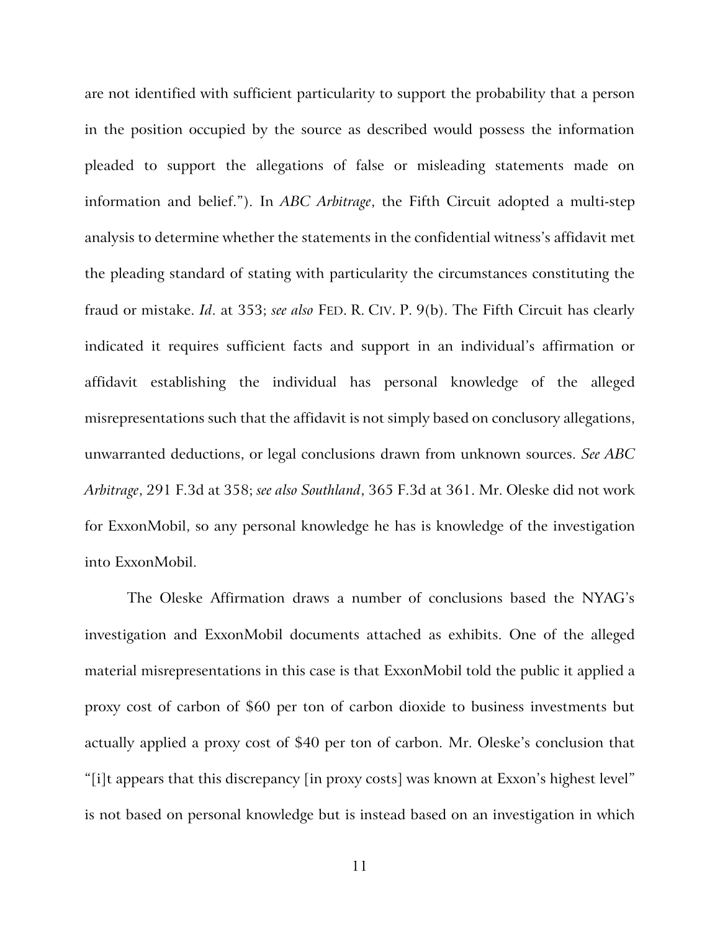are not identified with sufficient particularity to support the probability that a person in the position occupied by the source as described would possess the information pleaded to support the allegations of false or misleading statements made on information and belief."). In *ABC Arbitrage*, the Fifth Circuit adopted a multi-step analysis to determine whether the statements in the confidential witness's affidavit met the pleading standard of stating with particularity the circumstances constituting the fraud or mistake. *Id*. at 353; *see also* FED. R. CIV. P. 9(b). The Fifth Circuit has clearly indicated it requires sufficient facts and support in an individual's affirmation or affidavit establishing the individual has personal knowledge of the alleged misrepresentations such that the affidavit is not simply based on conclusory allegations, unwarranted deductions, or legal conclusions drawn from unknown sources. *See ABC Arbitrage*, 291 F.3d at 358; *see also Southland*, 365 F.3d at 361. Mr. Oleske did not work for ExxonMobil, so any personal knowledge he has is knowledge of the investigation into ExxonMobil.

The Oleske Affirmation draws a number of conclusions based the NYAG's investigation and ExxonMobil documents attached as exhibits. One of the alleged material misrepresentations in this case is that ExxonMobil told the public it applied a proxy cost of carbon of \$60 per ton of carbon dioxide to business investments but actually applied a proxy cost of \$40 per ton of carbon. Mr. Oleske's conclusion that "[i]t appears that this discrepancy [in proxy costs] was known at Exxon's highest level" is not based on personal knowledge but is instead based on an investigation in which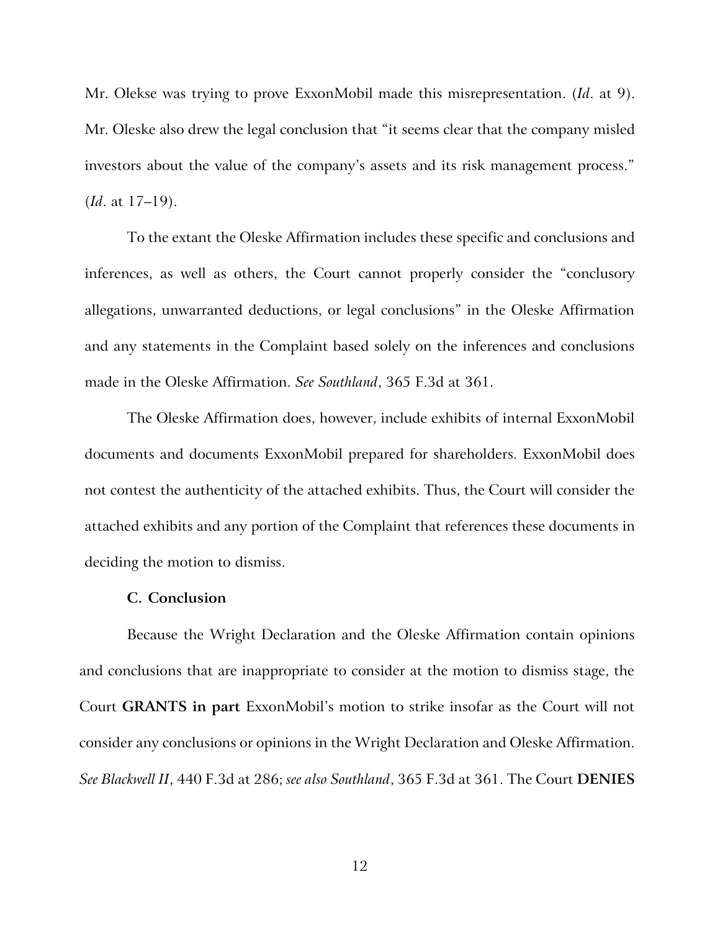Mr. Olekse was trying to prove ExxonMobil made this misrepresentation. (*Id*. at 9). Mr. Oleske also drew the legal conclusion that "it seems clear that the company misled investors about the value of the company's assets and its risk management process." (*Id*. at 17–19).

To the extant the Oleske Affirmation includes these specific and conclusions and inferences, as well as others, the Court cannot properly consider the "conclusory allegations, unwarranted deductions, or legal conclusions" in the Oleske Affirmation and any statements in the Complaint based solely on the inferences and conclusions made in the Oleske Affirmation. *See Southland*, 365 F.3d at 361.

The Oleske Affirmation does, however, include exhibits of internal ExxonMobil documents and documents ExxonMobil prepared for shareholders. ExxonMobil does not contest the authenticity of the attached exhibits. Thus, the Court will consider the attached exhibits and any portion of the Complaint that references these documents in deciding the motion to dismiss.

# **C. Conclusion**

Because the Wright Declaration and the Oleske Affirmation contain opinions and conclusions that are inappropriate to consider at the motion to dismiss stage, the Court **GRANTS in part** ExxonMobil's motion to strike insofar as the Court will not consider any conclusions or opinions in the Wright Declaration and Oleske Affirmation. *See Blackwell II*, 440 F.3d at 286; *see also Southland*, 365 F.3d at 361. The Court **DENIES**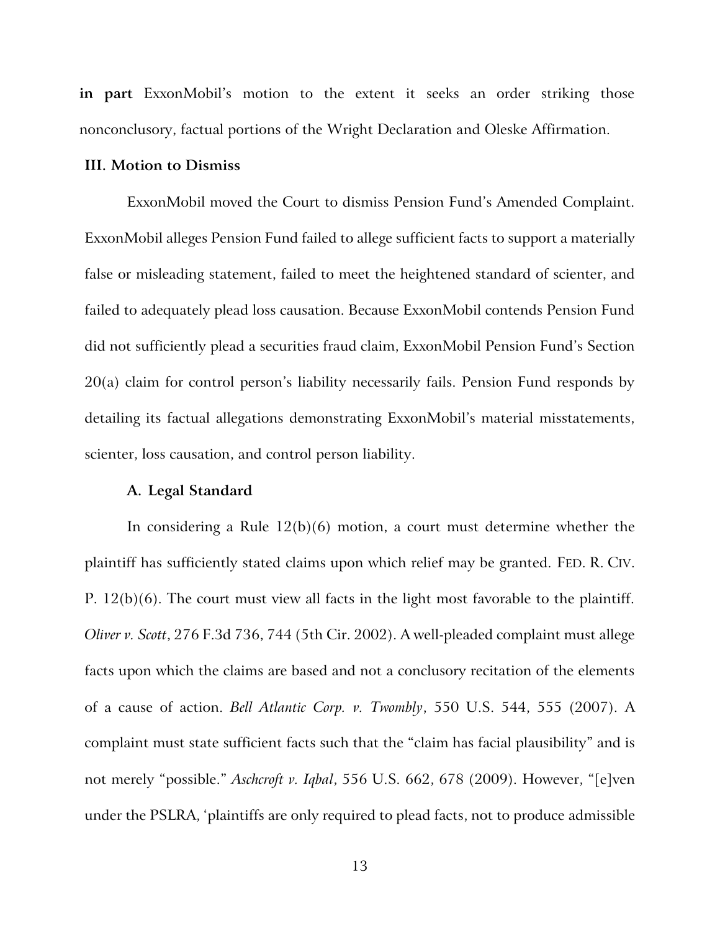**in part** ExxonMobil's motion to the extent it seeks an order striking those nonconclusory, factual portions of the Wright Declaration and Oleske Affirmation.

## **III. Motion to Dismiss**

ExxonMobil moved the Court to dismiss Pension Fund's Amended Complaint. ExxonMobil alleges Pension Fund failed to allege sufficient facts to support a materially false or misleading statement, failed to meet the heightened standard of scienter, and failed to adequately plead loss causation. Because ExxonMobil contends Pension Fund did not sufficiently plead a securities fraud claim, ExxonMobil Pension Fund's Section 20(a) claim for control person's liability necessarily fails. Pension Fund responds by detailing its factual allegations demonstrating ExxonMobil's material misstatements, scienter, loss causation, and control person liability.

## **A. Legal Standard**

In considering a Rule  $12(b)(6)$  motion, a court must determine whether the plaintiff has sufficiently stated claims upon which relief may be granted. FED. R. CIV. P. 12(b)(6). The court must view all facts in the light most favorable to the plaintiff. *Oliver v. Scott*, 276 F.3d 736, 744 (5th Cir. 2002). A well-pleaded complaint must allege facts upon which the claims are based and not a conclusory recitation of the elements of a cause of action. *Bell Atlantic Corp. v. Twombly*, 550 U.S. 544, 555 (2007). A complaint must state sufficient facts such that the "claim has facial plausibility" and is not merely "possible." *Aschcroft v. Iqbal*, 556 U.S. 662, 678 (2009). However, "[e]ven under the PSLRA, 'plaintiffs are only required to plead facts, not to produce admissible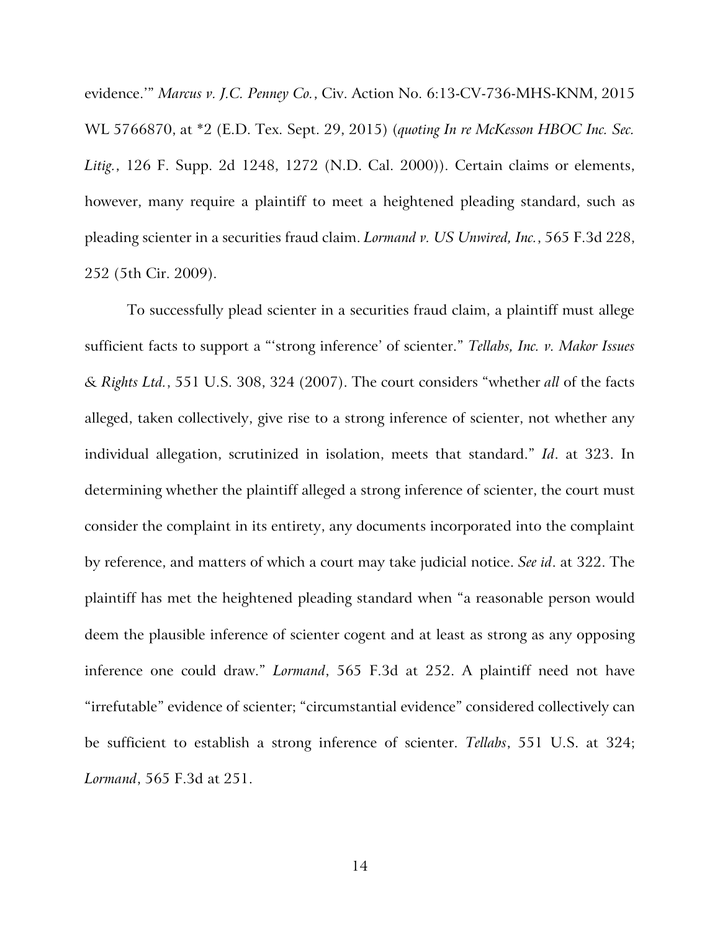evidence.'" *Marcus v. J.C. Penney Co.*, Civ. Action No. 6:13-CV-736-MHS-KNM, 2015 WL 5766870, at \*2 (E.D. Tex. Sept. 29, 2015) (*quoting In re McKesson HBOC Inc. Sec. Litig.*, 126 F. Supp. 2d 1248, 1272 (N.D. Cal. 2000)). Certain claims or elements, however, many require a plaintiff to meet a heightened pleading standard, such as pleading scienter in a securities fraud claim. *Lormand v. US Unwired, Inc.*, 565 F.3d 228, 252 (5th Cir. 2009).

To successfully plead scienter in a securities fraud claim, a plaintiff must allege sufficient facts to support a "'strong inference' of scienter." *Tellabs, Inc. v. Makor Issues & Rights Ltd.*, 551 U.S. 308, 324 (2007). The court considers "whether *all* of the facts alleged, taken collectively, give rise to a strong inference of scienter, not whether any individual allegation, scrutinized in isolation, meets that standard." *Id*. at 323. In determining whether the plaintiff alleged a strong inference of scienter, the court must consider the complaint in its entirety, any documents incorporated into the complaint by reference, and matters of which a court may take judicial notice. *See id*. at 322. The plaintiff has met the heightened pleading standard when "a reasonable person would deem the plausible inference of scienter cogent and at least as strong as any opposing inference one could draw." *Lormand*, 565 F.3d at 252. A plaintiff need not have "irrefutable" evidence of scienter; "circumstantial evidence" considered collectively can be sufficient to establish a strong inference of scienter. *Tellabs*, 551 U.S. at 324; *Lormand*, 565 F.3d at 251.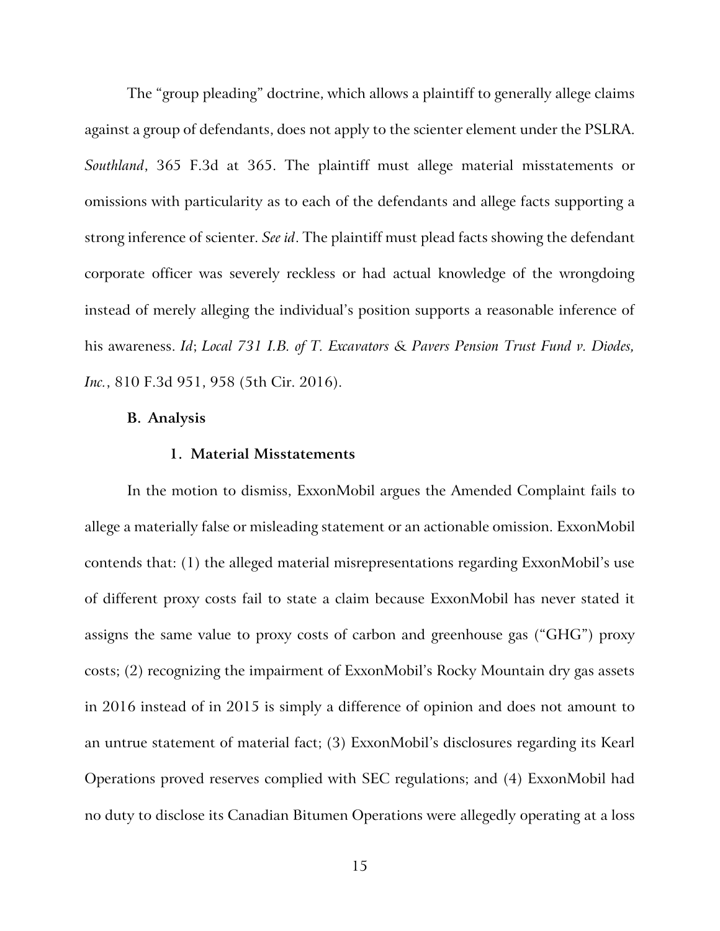The "group pleading" doctrine, which allows a plaintiff to generally allege claims against a group of defendants, does not apply to the scienter element under the PSLRA. *Southland*, 365 F.3d at 365. The plaintiff must allege material misstatements or omissions with particularity as to each of the defendants and allege facts supporting a strong inference of scienter. *See id*. The plaintiff must plead facts showing the defendant corporate officer was severely reckless or had actual knowledge of the wrongdoing instead of merely alleging the individual's position supports a reasonable inference of his awareness. *Id*; *Local 731 I.B. of T. Excavators & Pavers Pension Trust Fund v. Diodes, Inc.*, 810 F.3d 951, 958 (5th Cir. 2016).

#### **B. Analysis**

# **1. Material Misstatements**

In the motion to dismiss, ExxonMobil argues the Amended Complaint fails to allege a materially false or misleading statement or an actionable omission. ExxonMobil contends that: (1) the alleged material misrepresentations regarding ExxonMobil's use of different proxy costs fail to state a claim because ExxonMobil has never stated it assigns the same value to proxy costs of carbon and greenhouse gas ("GHG") proxy costs; (2) recognizing the impairment of ExxonMobil's Rocky Mountain dry gas assets in 2016 instead of in 2015 is simply a difference of opinion and does not amount to an untrue statement of material fact; (3) ExxonMobil's disclosures regarding its Kearl Operations proved reserves complied with SEC regulations; and (4) ExxonMobil had no duty to disclose its Canadian Bitumen Operations were allegedly operating at a loss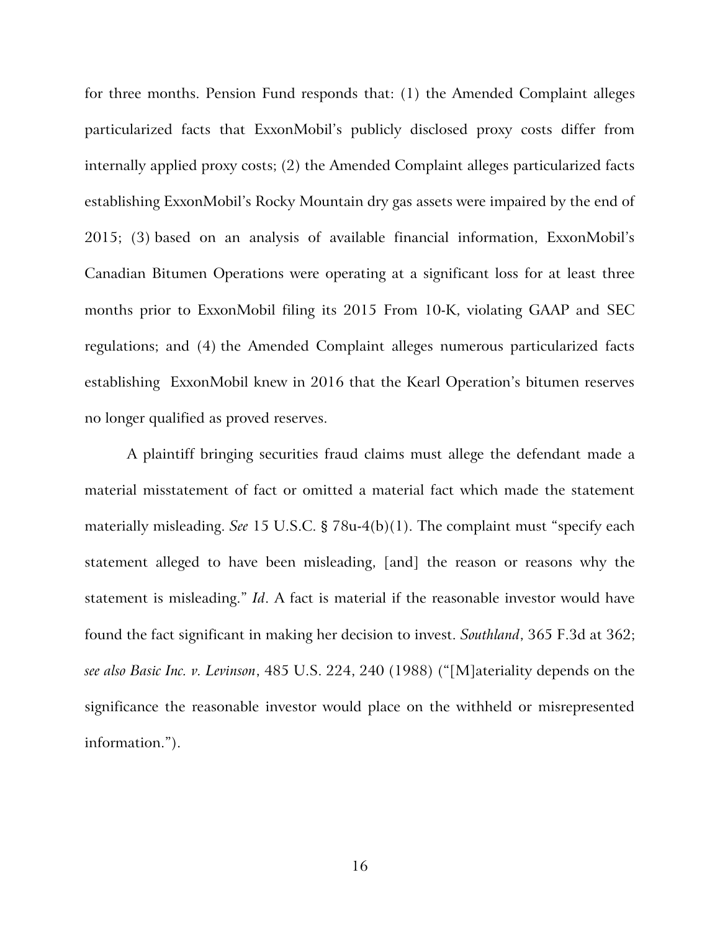for three months. Pension Fund responds that: (1) the Amended Complaint alleges particularized facts that ExxonMobil's publicly disclosed proxy costs differ from internally applied proxy costs; (2) the Amended Complaint alleges particularized facts establishing ExxonMobil's Rocky Mountain dry gas assets were impaired by the end of 2015; (3) based on an analysis of available financial information, ExxonMobil's Canadian Bitumen Operations were operating at a significant loss for at least three months prior to ExxonMobil filing its 2015 From 10-K, violating GAAP and SEC regulations; and (4) the Amended Complaint alleges numerous particularized facts establishing ExxonMobil knew in 2016 that the Kearl Operation's bitumen reserves no longer qualified as proved reserves.

A plaintiff bringing securities fraud claims must allege the defendant made a material misstatement of fact or omitted a material fact which made the statement materially misleading. *See* 15 U.S.C. § 78u-4(b)(1). The complaint must "specify each statement alleged to have been misleading, [and] the reason or reasons why the statement is misleading." *Id*. A fact is material if the reasonable investor would have found the fact significant in making her decision to invest. *Southland*, 365 F.3d at 362; *see also Basic Inc. v. Levinson*, 485 U.S. 224, 240 (1988) ("[M]ateriality depends on the significance the reasonable investor would place on the withheld or misrepresented information.").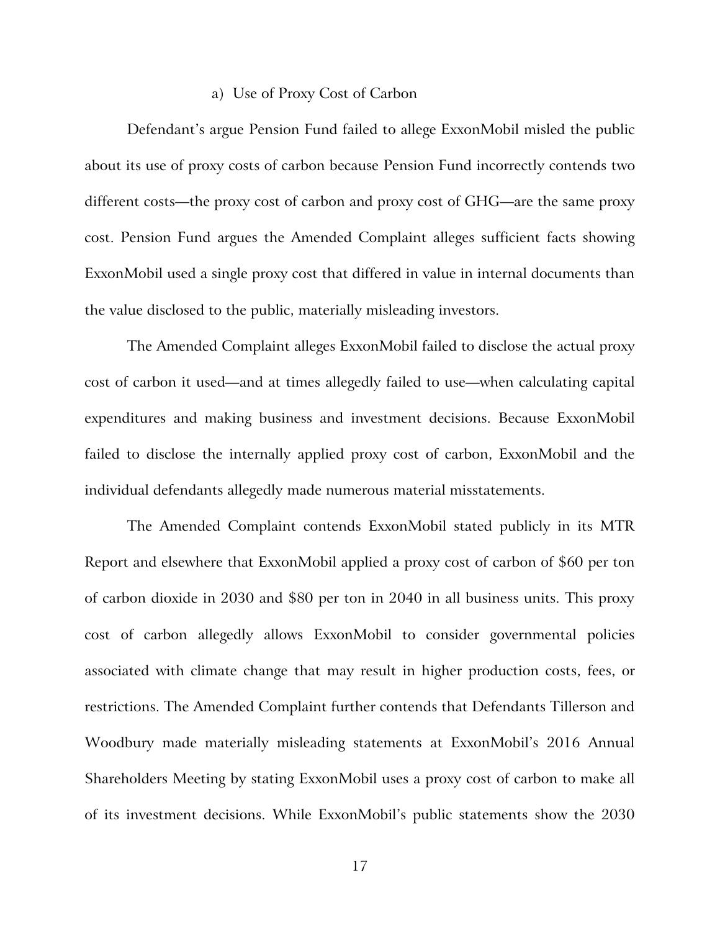## a) Use of Proxy Cost of Carbon

Defendant's argue Pension Fund failed to allege ExxonMobil misled the public about its use of proxy costs of carbon because Pension Fund incorrectly contends two different costs—the proxy cost of carbon and proxy cost of GHG—are the same proxy cost. Pension Fund argues the Amended Complaint alleges sufficient facts showing ExxonMobil used a single proxy cost that differed in value in internal documents than the value disclosed to the public, materially misleading investors.

The Amended Complaint alleges ExxonMobil failed to disclose the actual proxy cost of carbon it used—and at times allegedly failed to use—when calculating capital expenditures and making business and investment decisions. Because ExxonMobil failed to disclose the internally applied proxy cost of carbon, ExxonMobil and the individual defendants allegedly made numerous material misstatements.

The Amended Complaint contends ExxonMobil stated publicly in its MTR Report and elsewhere that ExxonMobil applied a proxy cost of carbon of \$60 per ton of carbon dioxide in 2030 and \$80 per ton in 2040 in all business units. This proxy cost of carbon allegedly allows ExxonMobil to consider governmental policies associated with climate change that may result in higher production costs, fees, or restrictions. The Amended Complaint further contends that Defendants Tillerson and Woodbury made materially misleading statements at ExxonMobil's 2016 Annual Shareholders Meeting by stating ExxonMobil uses a proxy cost of carbon to make all of its investment decisions. While ExxonMobil's public statements show the 2030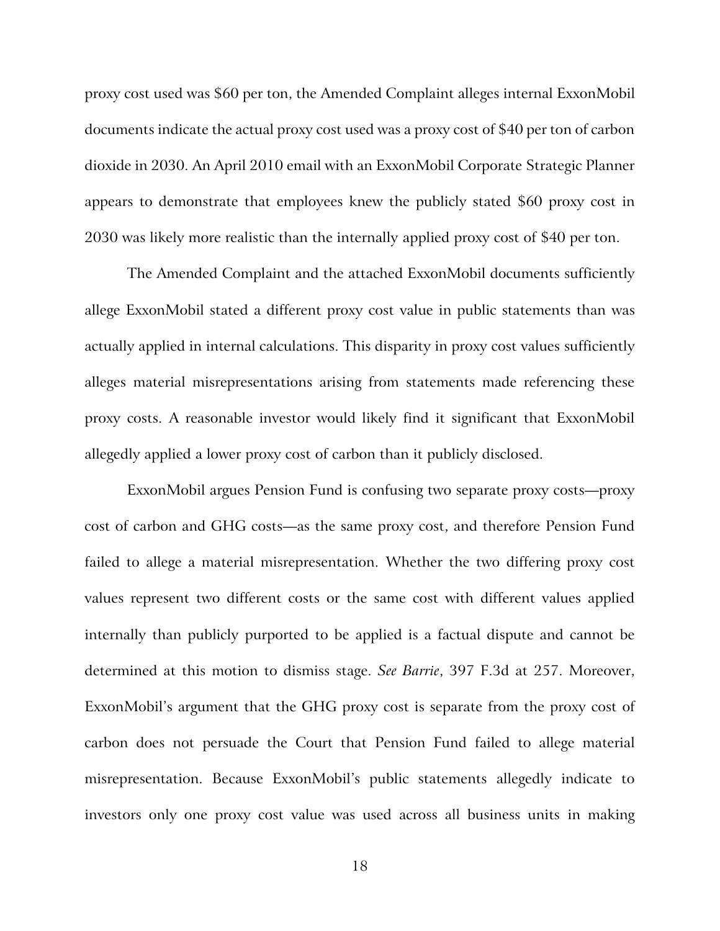proxy cost used was \$60 per ton, the Amended Complaint alleges internal ExxonMobil documents indicate the actual proxy cost used was a proxy cost of \$40 per ton of carbon dioxide in 2030. An April 2010 email with an ExxonMobil Corporate Strategic Planner appears to demonstrate that employees knew the publicly stated \$60 proxy cost in 2030 was likely more realistic than the internally applied proxy cost of \$40 per ton.

The Amended Complaint and the attached ExxonMobil documents sufficiently allege ExxonMobil stated a different proxy cost value in public statements than was actually applied in internal calculations. This disparity in proxy cost values sufficiently alleges material misrepresentations arising from statements made referencing these proxy costs. A reasonable investor would likely find it significant that ExxonMobil allegedly applied a lower proxy cost of carbon than it publicly disclosed.

ExxonMobil argues Pension Fund is confusing two separate proxy costs—proxy cost of carbon and GHG costs—as the same proxy cost, and therefore Pension Fund failed to allege a material misrepresentation. Whether the two differing proxy cost values represent two different costs or the same cost with different values applied internally than publicly purported to be applied is a factual dispute and cannot be determined at this motion to dismiss stage. *See Barrie*, 397 F.3d at 257. Moreover, ExxonMobil's argument that the GHG proxy cost is separate from the proxy cost of carbon does not persuade the Court that Pension Fund failed to allege material misrepresentation. Because ExxonMobil's public statements allegedly indicate to investors only one proxy cost value was used across all business units in making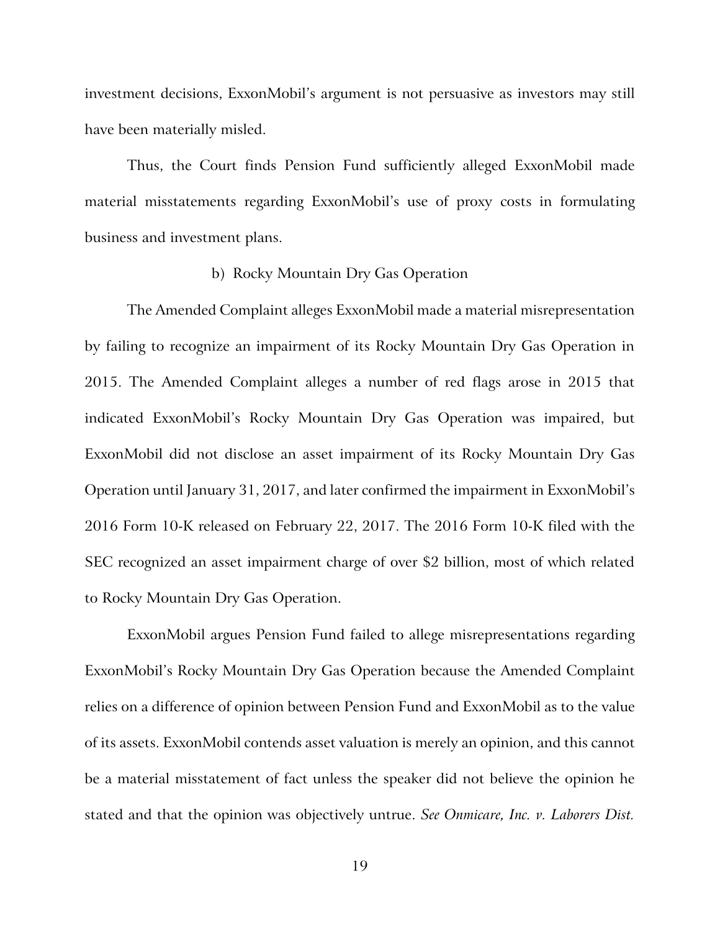investment decisions, ExxonMobil's argument is not persuasive as investors may still have been materially misled.

Thus, the Court finds Pension Fund sufficiently alleged ExxonMobil made material misstatements regarding ExxonMobil's use of proxy costs in formulating business and investment plans.

## b) Rocky Mountain Dry Gas Operation

The Amended Complaint alleges ExxonMobil made a material misrepresentation by failing to recognize an impairment of its Rocky Mountain Dry Gas Operation in 2015. The Amended Complaint alleges a number of red flags arose in 2015 that indicated ExxonMobil's Rocky Mountain Dry Gas Operation was impaired, but ExxonMobil did not disclose an asset impairment of its Rocky Mountain Dry Gas Operation until January 31, 2017, and later confirmed the impairment in ExxonMobil's 2016 Form 10-K released on February 22, 2017. The 2016 Form 10-K filed with the SEC recognized an asset impairment charge of over \$2 billion, most of which related to Rocky Mountain Dry Gas Operation.

ExxonMobil argues Pension Fund failed to allege misrepresentations regarding ExxonMobil's Rocky Mountain Dry Gas Operation because the Amended Complaint relies on a difference of opinion between Pension Fund and ExxonMobil as to the value of its assets. ExxonMobil contends asset valuation is merely an opinion, and this cannot be a material misstatement of fact unless the speaker did not believe the opinion he stated and that the opinion was objectively untrue. *See Onmicare, Inc. v. Laborers Dist.*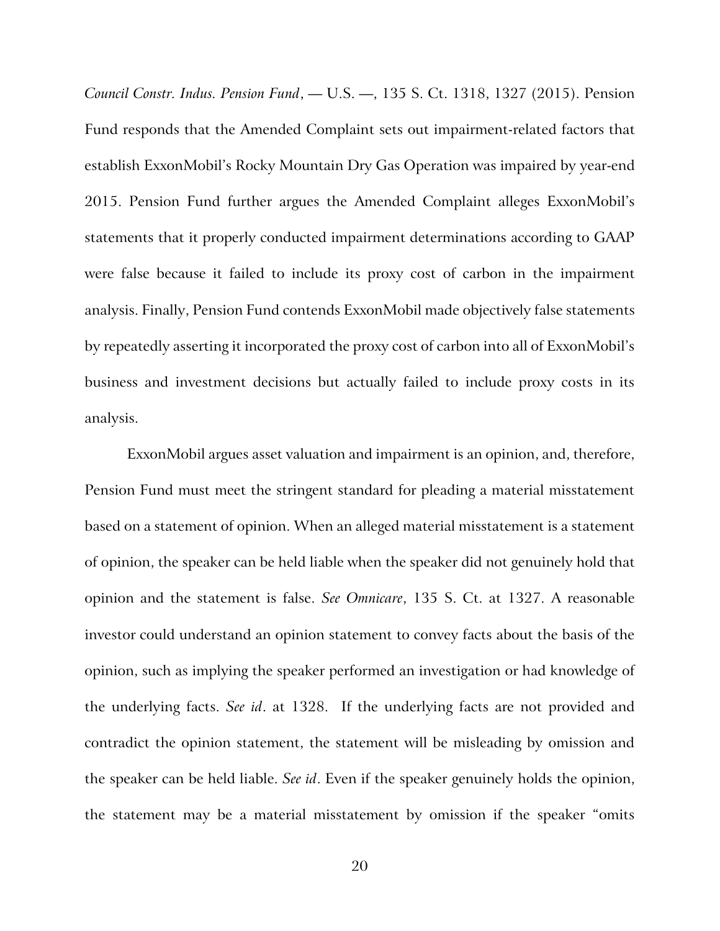*Council Constr. Indus. Pension Fund*, — U.S. —, 135 S. Ct. 1318, 1327 (2015). Pension Fund responds that the Amended Complaint sets out impairment-related factors that establish ExxonMobil's Rocky Mountain Dry Gas Operation was impaired by year-end 2015. Pension Fund further argues the Amended Complaint alleges ExxonMobil's statements that it properly conducted impairment determinations according to GAAP were false because it failed to include its proxy cost of carbon in the impairment analysis. Finally, Pension Fund contends ExxonMobil made objectively false statements by repeatedly asserting it incorporated the proxy cost of carbon into all of ExxonMobil's business and investment decisions but actually failed to include proxy costs in its analysis.

ExxonMobil argues asset valuation and impairment is an opinion, and, therefore, Pension Fund must meet the stringent standard for pleading a material misstatement based on a statement of opinion. When an alleged material misstatement is a statement of opinion, the speaker can be held liable when the speaker did not genuinely hold that opinion and the statement is false. *See Omnicare*, 135 S. Ct. at 1327. A reasonable investor could understand an opinion statement to convey facts about the basis of the opinion, such as implying the speaker performed an investigation or had knowledge of the underlying facts. *See id*. at 1328. If the underlying facts are not provided and contradict the opinion statement, the statement will be misleading by omission and the speaker can be held liable. *See id*. Even if the speaker genuinely holds the opinion, the statement may be a material misstatement by omission if the speaker "omits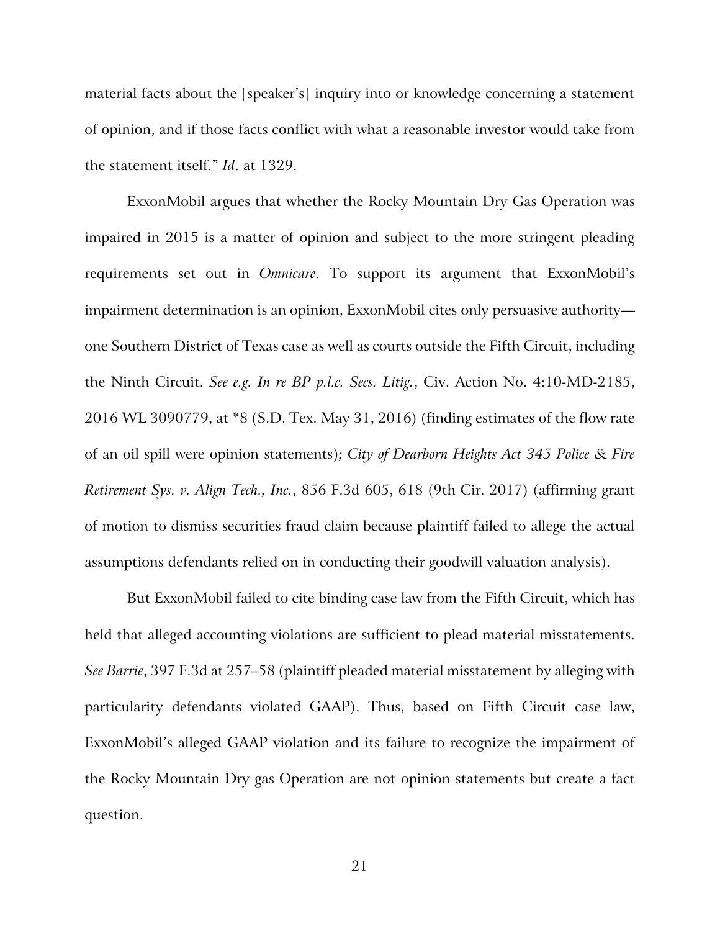material facts about the [speaker's] inquiry into or knowledge concerning a statement of opinion, and if those facts conflict with what a reasonable investor would take from the statement itself." *Id*. at 1329.

ExxonMobil argues that whether the Rocky Mountain Dry Gas Operation was impaired in 2015 is a matter of opinion and subject to the more stringent pleading requirements set out in *Omnicare*. To support its argument that ExxonMobil's impairment determination is an opinion, ExxonMobil cites only persuasive authority one Southern District of Texas case as well as courts outside the Fifth Circuit, including the Ninth Circuit. *See e.g. In re BP p.l.c. Secs. Litig.*, Civ. Action No. 4:10-MD-2185, 2016 WL 3090779, at \*8 (S.D. Tex. May 31, 2016) (finding estimates of the flow rate of an oil spill were opinion statements)*; City of Dearborn Heights Act 345 Police & Fire Retirement Sys. v. Align Tech., Inc.*, 856 F.3d 605, 618 (9th Cir. 2017) (affirming grant of motion to dismiss securities fraud claim because plaintiff failed to allege the actual assumptions defendants relied on in conducting their goodwill valuation analysis).

But ExxonMobil failed to cite binding case law from the Fifth Circuit, which has held that alleged accounting violations are sufficient to plead material misstatements. *See Barrie*, 397 F.3d at 257–58 (plaintiff pleaded material misstatement by alleging with particularity defendants violated GAAP). Thus, based on Fifth Circuit case law, ExxonMobil's alleged GAAP violation and its failure to recognize the impairment of the Rocky Mountain Dry gas Operation are not opinion statements but create a fact question.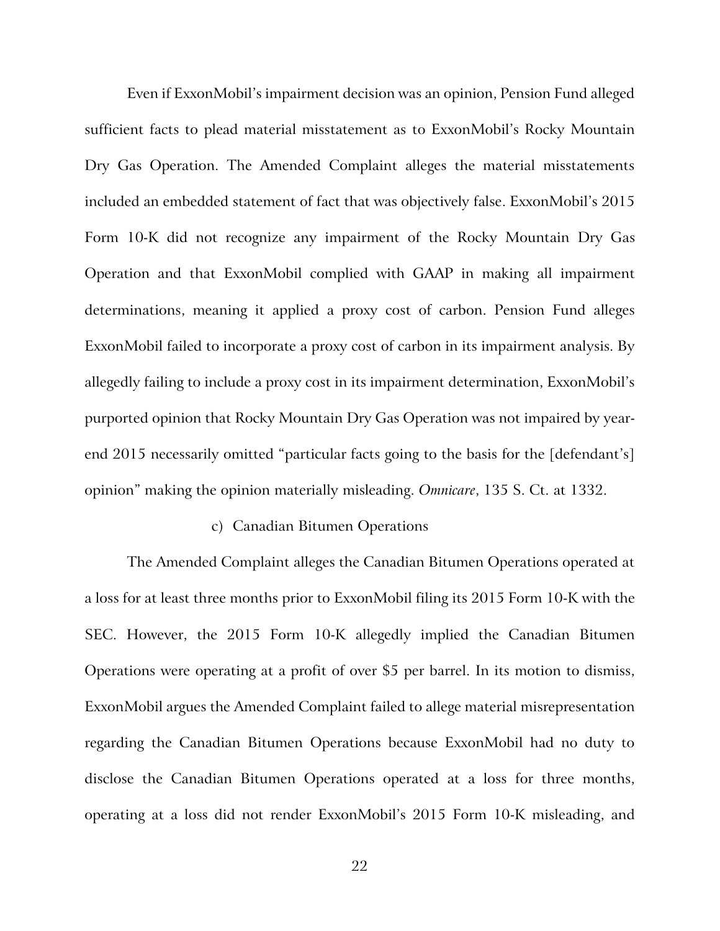Even if ExxonMobil's impairment decision was an opinion, Pension Fund alleged sufficient facts to plead material misstatement as to ExxonMobil's Rocky Mountain Dry Gas Operation. The Amended Complaint alleges the material misstatements included an embedded statement of fact that was objectively false. ExxonMobil's 2015 Form 10-K did not recognize any impairment of the Rocky Mountain Dry Gas Operation and that ExxonMobil complied with GAAP in making all impairment determinations, meaning it applied a proxy cost of carbon. Pension Fund alleges ExxonMobil failed to incorporate a proxy cost of carbon in its impairment analysis. By allegedly failing to include a proxy cost in its impairment determination, ExxonMobil's purported opinion that Rocky Mountain Dry Gas Operation was not impaired by yearend 2015 necessarily omitted "particular facts going to the basis for the [defendant's] opinion" making the opinion materially misleading. *Omnicare*, 135 S. Ct. at 1332.

# c) Canadian Bitumen Operations

The Amended Complaint alleges the Canadian Bitumen Operations operated at a loss for at least three months prior to ExxonMobil filing its 2015 Form 10-K with the SEC. However, the 2015 Form 10-K allegedly implied the Canadian Bitumen Operations were operating at a profit of over \$5 per barrel. In its motion to dismiss, ExxonMobil argues the Amended Complaint failed to allege material misrepresentation regarding the Canadian Bitumen Operations because ExxonMobil had no duty to disclose the Canadian Bitumen Operations operated at a loss for three months, operating at a loss did not render ExxonMobil's 2015 Form 10-K misleading, and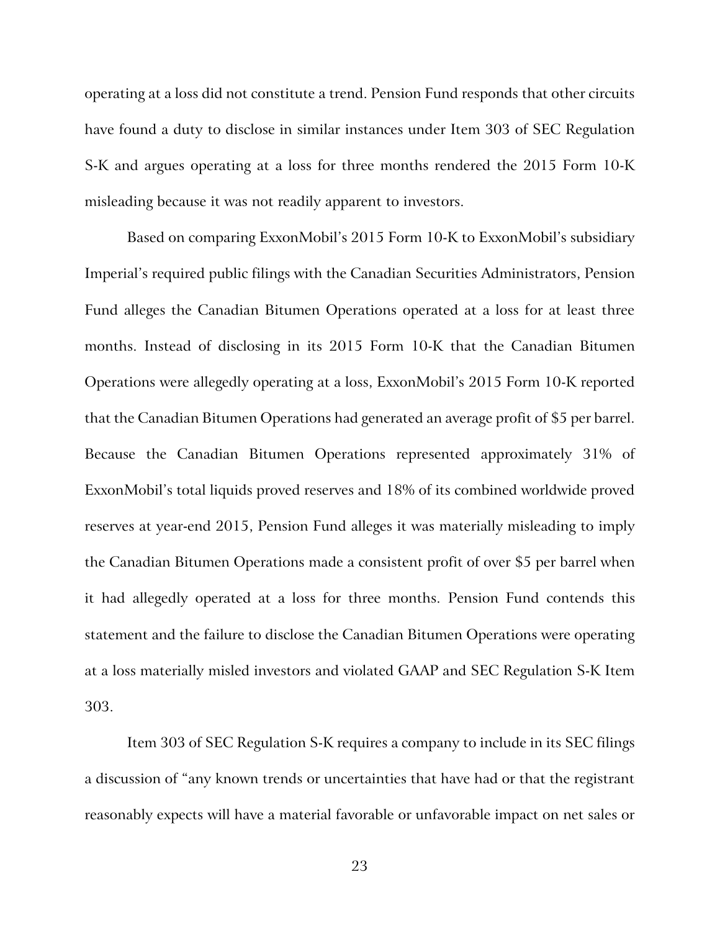operating at a loss did not constitute a trend. Pension Fund responds that other circuits have found a duty to disclose in similar instances under Item 303 of SEC Regulation S-K and argues operating at a loss for three months rendered the 2015 Form 10-K misleading because it was not readily apparent to investors.

Based on comparing ExxonMobil's 2015 Form 10-K to ExxonMobil's subsidiary Imperial's required public filings with the Canadian Securities Administrators, Pension Fund alleges the Canadian Bitumen Operations operated at a loss for at least three months. Instead of disclosing in its 2015 Form 10-K that the Canadian Bitumen Operations were allegedly operating at a loss, ExxonMobil's 2015 Form 10-K reported that the Canadian Bitumen Operations had generated an average profit of \$5 per barrel. Because the Canadian Bitumen Operations represented approximately 31% of ExxonMobil's total liquids proved reserves and 18% of its combined worldwide proved reserves at year-end 2015, Pension Fund alleges it was materially misleading to imply the Canadian Bitumen Operations made a consistent profit of over \$5 per barrel when it had allegedly operated at a loss for three months. Pension Fund contends this statement and the failure to disclose the Canadian Bitumen Operations were operating at a loss materially misled investors and violated GAAP and SEC Regulation S-K Item 303.

Item 303 of SEC Regulation S-K requires a company to include in its SEC filings a discussion of "any known trends or uncertainties that have had or that the registrant reasonably expects will have a material favorable or unfavorable impact on net sales or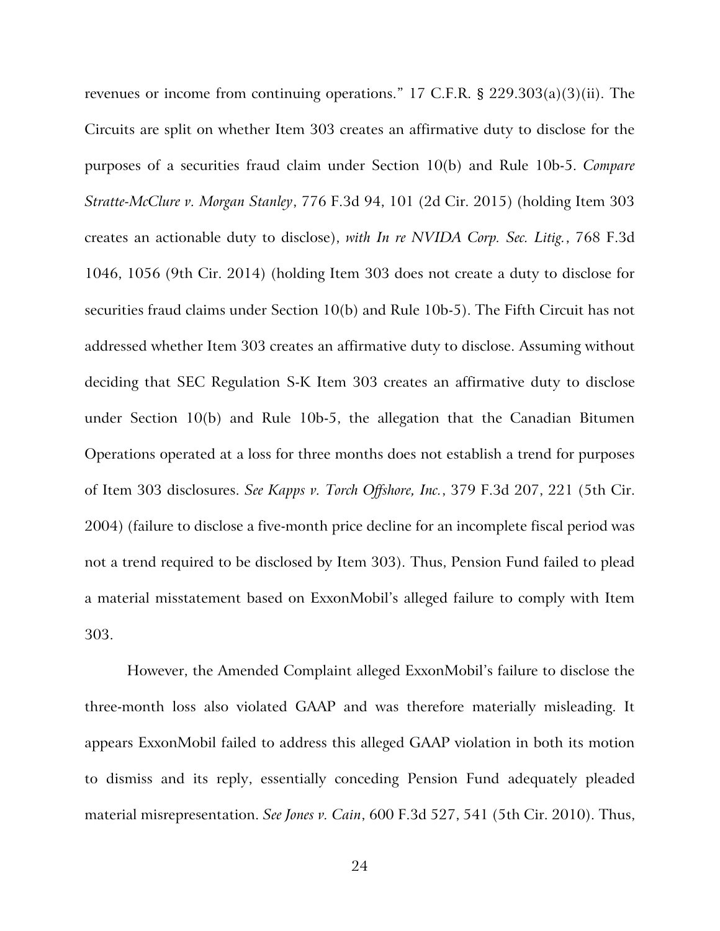revenues or income from continuing operations." 17 C.F.R. § 229.303(a)(3)(ii). The Circuits are split on whether Item 303 creates an affirmative duty to disclose for the purposes of a securities fraud claim under Section 10(b) and Rule 10b-5. *Compare Stratte-McClure v. Morgan Stanley*, 776 F.3d 94, 101 (2d Cir. 2015) (holding Item 303 creates an actionable duty to disclose), *with In re NVIDA Corp. Sec. Litig.*, 768 F.3d 1046, 1056 (9th Cir. 2014) (holding Item 303 does not create a duty to disclose for securities fraud claims under Section 10(b) and Rule 10b-5). The Fifth Circuit has not addressed whether Item 303 creates an affirmative duty to disclose. Assuming without deciding that SEC Regulation S-K Item 303 creates an affirmative duty to disclose under Section 10(b) and Rule 10b-5, the allegation that the Canadian Bitumen Operations operated at a loss for three months does not establish a trend for purposes of Item 303 disclosures. *See Kapps v. Torch Offshore, Inc.*, 379 F.3d 207, 221 (5th Cir. 2004) (failure to disclose a five-month price decline for an incomplete fiscal period was not a trend required to be disclosed by Item 303). Thus, Pension Fund failed to plead a material misstatement based on ExxonMobil's alleged failure to comply with Item 303.

However, the Amended Complaint alleged ExxonMobil's failure to disclose the three-month loss also violated GAAP and was therefore materially misleading. It appears ExxonMobil failed to address this alleged GAAP violation in both its motion to dismiss and its reply, essentially conceding Pension Fund adequately pleaded material misrepresentation. *See Jones v. Cain*, 600 F.3d 527, 541 (5th Cir. 2010). Thus,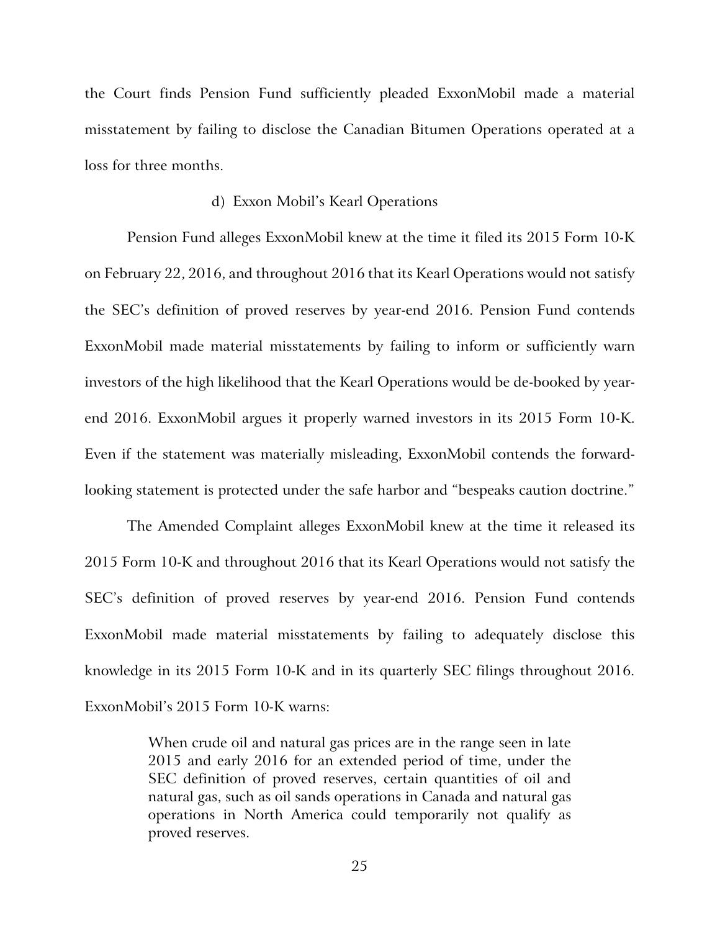the Court finds Pension Fund sufficiently pleaded ExxonMobil made a material misstatement by failing to disclose the Canadian Bitumen Operations operated at a loss for three months.

# d) Exxon Mobil's Kearl Operations

Pension Fund alleges ExxonMobil knew at the time it filed its 2015 Form 10-K on February 22, 2016, and throughout 2016 that its Kearl Operations would not satisfy the SEC's definition of proved reserves by year-end 2016. Pension Fund contends ExxonMobil made material misstatements by failing to inform or sufficiently warn investors of the high likelihood that the Kearl Operations would be de-booked by yearend 2016. ExxonMobil argues it properly warned investors in its 2015 Form 10-K. Even if the statement was materially misleading, ExxonMobil contends the forwardlooking statement is protected under the safe harbor and "bespeaks caution doctrine."

The Amended Complaint alleges ExxonMobil knew at the time it released its 2015 Form 10-K and throughout 2016 that its Kearl Operations would not satisfy the SEC's definition of proved reserves by year-end 2016. Pension Fund contends ExxonMobil made material misstatements by failing to adequately disclose this knowledge in its 2015 Form 10-K and in its quarterly SEC filings throughout 2016. ExxonMobil's 2015 Form 10-K warns:

> When crude oil and natural gas prices are in the range seen in late 2015 and early 2016 for an extended period of time, under the SEC definition of proved reserves, certain quantities of oil and natural gas, such as oil sands operations in Canada and natural gas operations in North America could temporarily not qualify as proved reserves.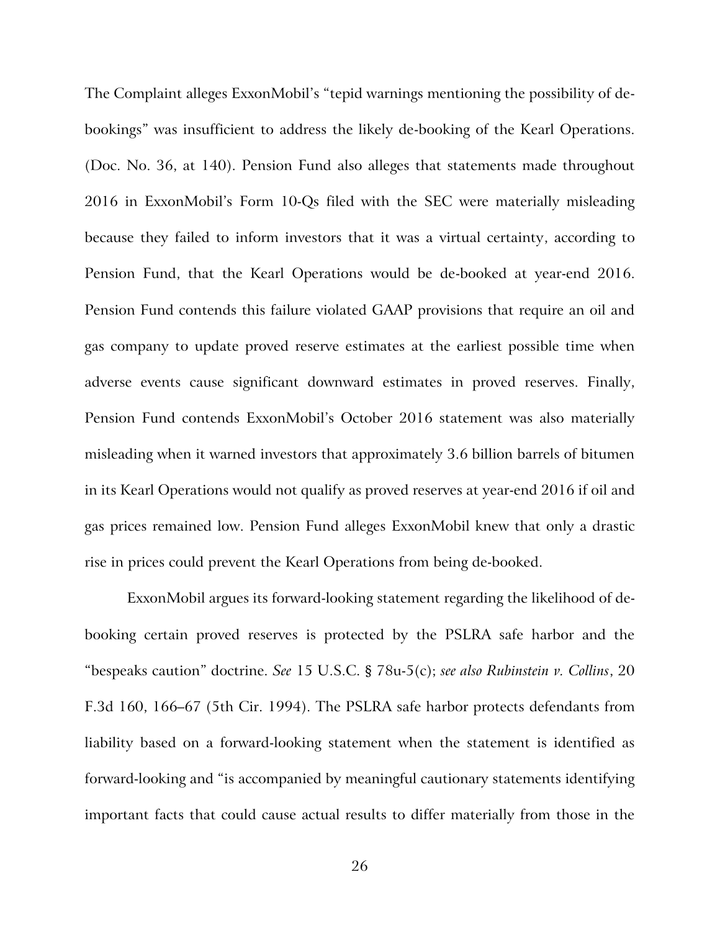The Complaint alleges ExxonMobil's "tepid warnings mentioning the possibility of debookings" was insufficient to address the likely de-booking of the Kearl Operations. (Doc. No. 36, at 140). Pension Fund also alleges that statements made throughout 2016 in ExxonMobil's Form 10-Qs filed with the SEC were materially misleading because they failed to inform investors that it was a virtual certainty, according to Pension Fund, that the Kearl Operations would be de-booked at year-end 2016. Pension Fund contends this failure violated GAAP provisions that require an oil and gas company to update proved reserve estimates at the earliest possible time when adverse events cause significant downward estimates in proved reserves. Finally, Pension Fund contends ExxonMobil's October 2016 statement was also materially misleading when it warned investors that approximately 3.6 billion barrels of bitumen in its Kearl Operations would not qualify as proved reserves at year-end 2016 if oil and gas prices remained low. Pension Fund alleges ExxonMobil knew that only a drastic rise in prices could prevent the Kearl Operations from being de-booked.

ExxonMobil argues its forward-looking statement regarding the likelihood of debooking certain proved reserves is protected by the PSLRA safe harbor and the "bespeaks caution" doctrine. *See* 15 U.S.C. § 78u-5(c); *see also Rubinstein v. Collins*, 20 F.3d 160, 166–67 (5th Cir. 1994). The PSLRA safe harbor protects defendants from liability based on a forward-looking statement when the statement is identified as forward-looking and "is accompanied by meaningful cautionary statements identifying important facts that could cause actual results to differ materially from those in the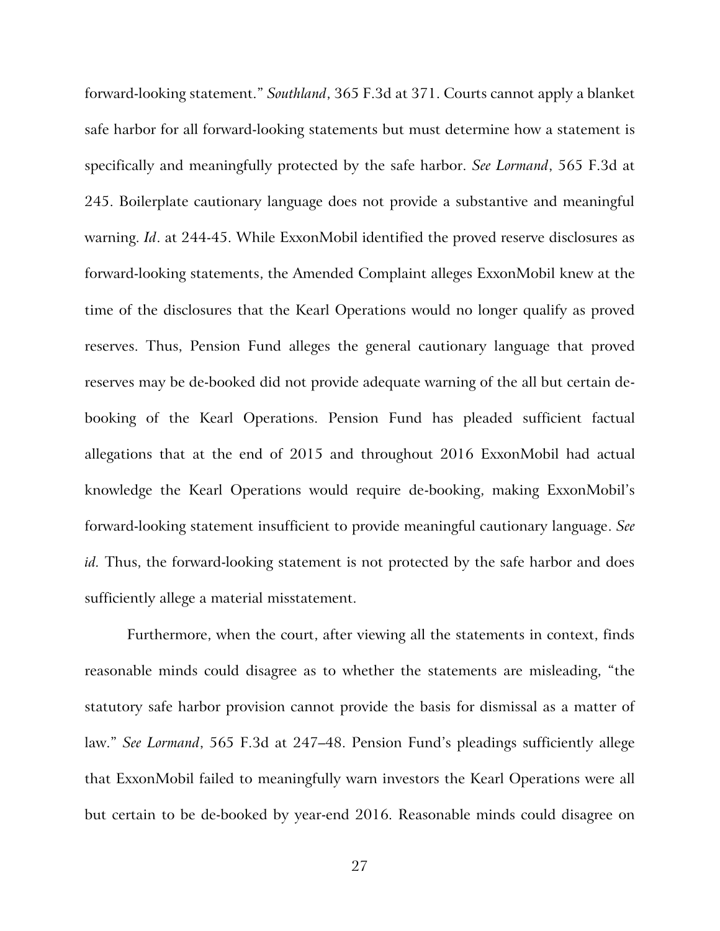forward-looking statement." *Southland*, 365 F.3d at 371. Courts cannot apply a blanket safe harbor for all forward-looking statements but must determine how a statement is specifically and meaningfully protected by the safe harbor. *See Lormand*, 565 F.3d at 245. Boilerplate cautionary language does not provide a substantive and meaningful warning. *Id*. at 244-45. While ExxonMobil identified the proved reserve disclosures as forward-looking statements, the Amended Complaint alleges ExxonMobil knew at the time of the disclosures that the Kearl Operations would no longer qualify as proved reserves. Thus, Pension Fund alleges the general cautionary language that proved reserves may be de-booked did not provide adequate warning of the all but certain debooking of the Kearl Operations. Pension Fund has pleaded sufficient factual allegations that at the end of 2015 and throughout 2016 ExxonMobil had actual knowledge the Kearl Operations would require de-booking, making ExxonMobil's forward-looking statement insufficient to provide meaningful cautionary language. *See id.* Thus, the forward-looking statement is not protected by the safe harbor and does sufficiently allege a material misstatement.

Furthermore, when the court, after viewing all the statements in context, finds reasonable minds could disagree as to whether the statements are misleading, "the statutory safe harbor provision cannot provide the basis for dismissal as a matter of law." *See Lormand*, 565 F.3d at 247–48. Pension Fund's pleadings sufficiently allege that ExxonMobil failed to meaningfully warn investors the Kearl Operations were all but certain to be de-booked by year-end 2016. Reasonable minds could disagree on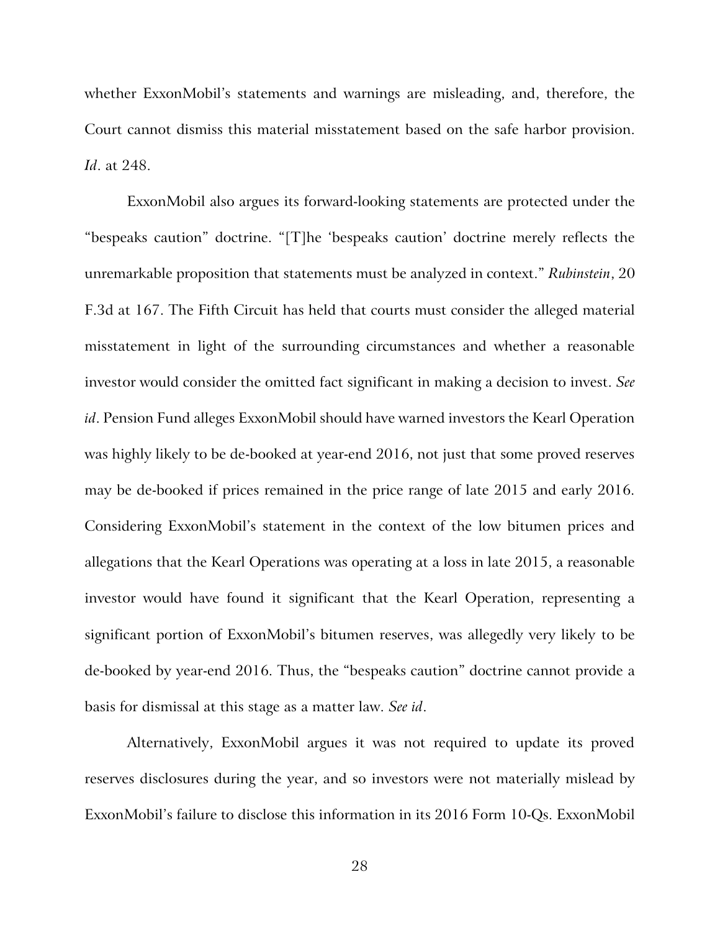whether ExxonMobil's statements and warnings are misleading, and, therefore, the Court cannot dismiss this material misstatement based on the safe harbor provision. *Id*. at 248.

ExxonMobil also argues its forward-looking statements are protected under the "bespeaks caution" doctrine. "[T]he 'bespeaks caution' doctrine merely reflects the unremarkable proposition that statements must be analyzed in context." *Rubinstein*, 20 F.3d at 167. The Fifth Circuit has held that courts must consider the alleged material misstatement in light of the surrounding circumstances and whether a reasonable investor would consider the omitted fact significant in making a decision to invest. *See id*. Pension Fund alleges ExxonMobil should have warned investors the Kearl Operation was highly likely to be de-booked at year-end 2016, not just that some proved reserves may be de-booked if prices remained in the price range of late 2015 and early 2016. Considering ExxonMobil's statement in the context of the low bitumen prices and allegations that the Kearl Operations was operating at a loss in late 2015, a reasonable investor would have found it significant that the Kearl Operation, representing a significant portion of ExxonMobil's bitumen reserves, was allegedly very likely to be de-booked by year-end 2016. Thus, the "bespeaks caution" doctrine cannot provide a basis for dismissal at this stage as a matter law. *See id*.

Alternatively, ExxonMobil argues it was not required to update its proved reserves disclosures during the year, and so investors were not materially mislead by ExxonMobil's failure to disclose this information in its 2016 Form 10-Qs. ExxonMobil

28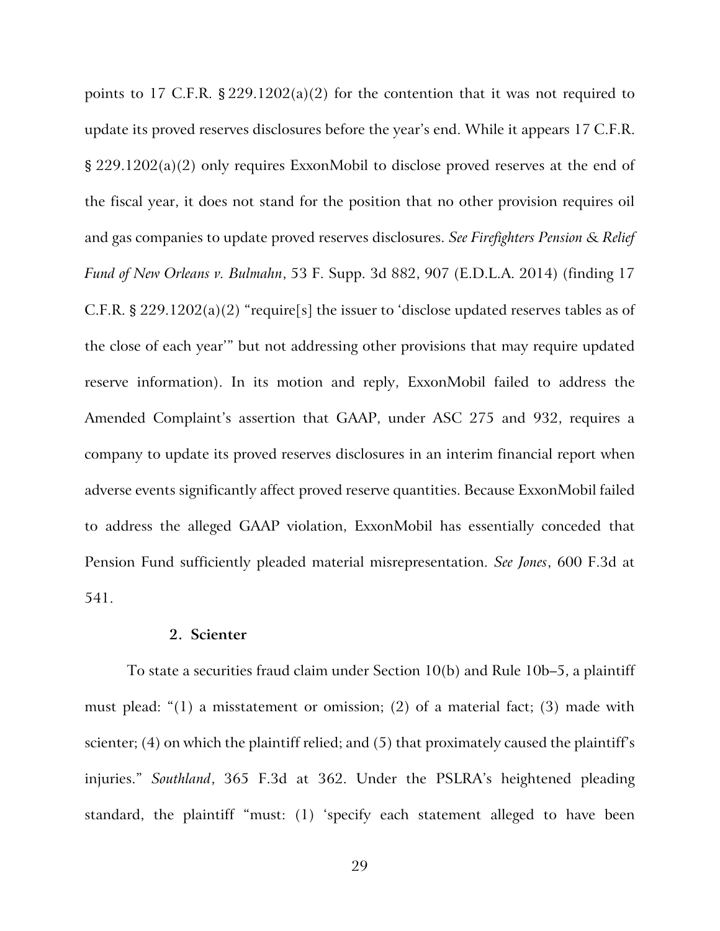points to 17 C.F.R.  $\S 229.1202(a)(2)$  for the contention that it was not required to update its proved reserves disclosures before the year's end. While it appears 17 C.F.R. § 229.1202(a)(2) only requires ExxonMobil to disclose proved reserves at the end of the fiscal year, it does not stand for the position that no other provision requires oil and gas companies to update proved reserves disclosures. *See Firefighters Pension & Relief Fund of New Orleans v. Bulmahn*, 53 F. Supp. 3d 882, 907 (E.D.L.A. 2014) (finding 17 C.F.R. § 229.1202(a)(2) "require[s] the issuer to 'disclose updated reserves tables as of the close of each year'" but not addressing other provisions that may require updated reserve information). In its motion and reply, ExxonMobil failed to address the Amended Complaint's assertion that GAAP, under ASC 275 and 932, requires a company to update its proved reserves disclosures in an interim financial report when adverse events significantly affect proved reserve quantities. Because ExxonMobil failed to address the alleged GAAP violation, ExxonMobil has essentially conceded that Pension Fund sufficiently pleaded material misrepresentation. *See Jones*, 600 F.3d at 541.

## **2. Scienter**

To state a securities fraud claim under Section 10(b) and Rule 10b–5, a plaintiff must plead: "(1) a misstatement or omission; (2) of a material fact; (3) made with scienter; (4) on which the plaintiff relied; and (5) that proximately caused the plaintiff's injuries." *Southland*, 365 F.3d at 362. Under the PSLRA's heightened pleading standard, the plaintiff "must: (1) 'specify each statement alleged to have been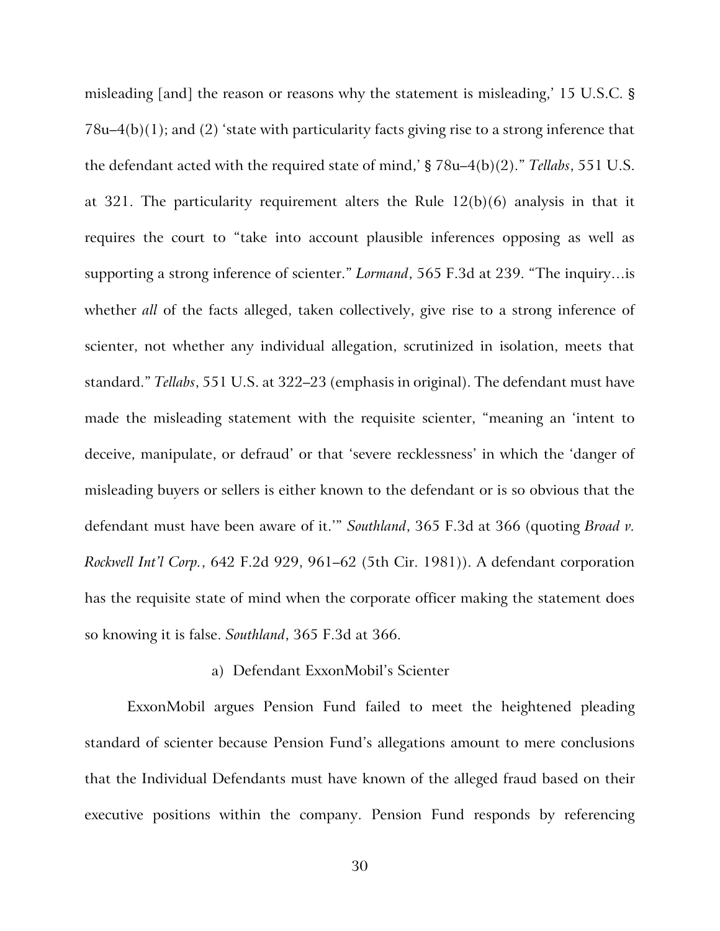misleading [and] the reason or reasons why the statement is misleading,' 15 U.S.C. § 78u–4(b)(1); and (2) 'state with particularity facts giving rise to a strong inference that the defendant acted with the required state of mind,' § 78u–4(b)(2)." *Tellabs*, 551 U.S. at 321. The particularity requirement alters the Rule 12(b)(6) analysis in that it requires the court to "take into account plausible inferences opposing as well as supporting a strong inference of scienter." *Lormand*, 565 F.3d at 239. "The inquiry…is whether *all* of the facts alleged, taken collectively, give rise to a strong inference of scienter, not whether any individual allegation, scrutinized in isolation, meets that standard." *Tellabs*, 551 U.S. at 322–23 (emphasis in original). The defendant must have made the misleading statement with the requisite scienter, "meaning an 'intent to deceive, manipulate, or defraud' or that 'severe recklessness' in which the 'danger of misleading buyers or sellers is either known to the defendant or is so obvious that the defendant must have been aware of it.'" *Southland*, 365 F.3d at 366 (quoting *Broad v. Rockwell Int'l Corp.*, 642 F.2d 929, 961–62 (5th Cir. 1981)). A defendant corporation has the requisite state of mind when the corporate officer making the statement does so knowing it is false. *Southland*, 365 F.3d at 366.

#### a) Defendant ExxonMobil's Scienter

ExxonMobil argues Pension Fund failed to meet the heightened pleading standard of scienter because Pension Fund's allegations amount to mere conclusions that the Individual Defendants must have known of the alleged fraud based on their executive positions within the company. Pension Fund responds by referencing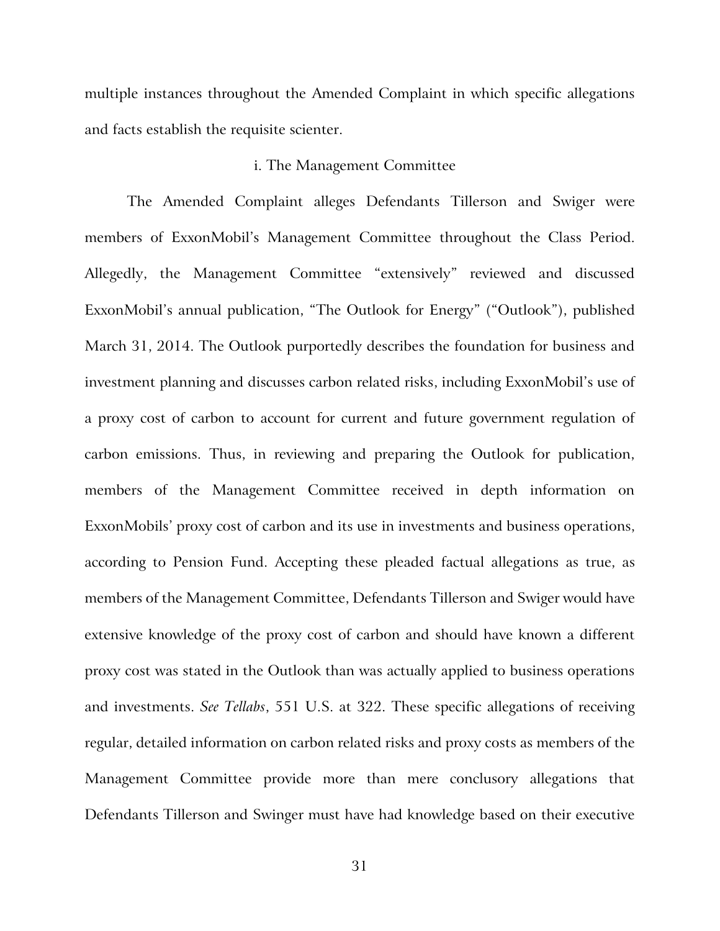multiple instances throughout the Amended Complaint in which specific allegations and facts establish the requisite scienter.

#### i. The Management Committee

The Amended Complaint alleges Defendants Tillerson and Swiger were members of ExxonMobil's Management Committee throughout the Class Period. Allegedly, the Management Committee "extensively" reviewed and discussed ExxonMobil's annual publication, "The Outlook for Energy" ("Outlook"), published March 31, 2014. The Outlook purportedly describes the foundation for business and investment planning and discusses carbon related risks, including ExxonMobil's use of a proxy cost of carbon to account for current and future government regulation of carbon emissions. Thus, in reviewing and preparing the Outlook for publication, members of the Management Committee received in depth information on ExxonMobils' proxy cost of carbon and its use in investments and business operations, according to Pension Fund. Accepting these pleaded factual allegations as true, as members of the Management Committee, Defendants Tillerson and Swiger would have extensive knowledge of the proxy cost of carbon and should have known a different proxy cost was stated in the Outlook than was actually applied to business operations and investments. *See Tellabs*, 551 U.S. at 322. These specific allegations of receiving regular, detailed information on carbon related risks and proxy costs as members of the Management Committee provide more than mere conclusory allegations that Defendants Tillerson and Swinger must have had knowledge based on their executive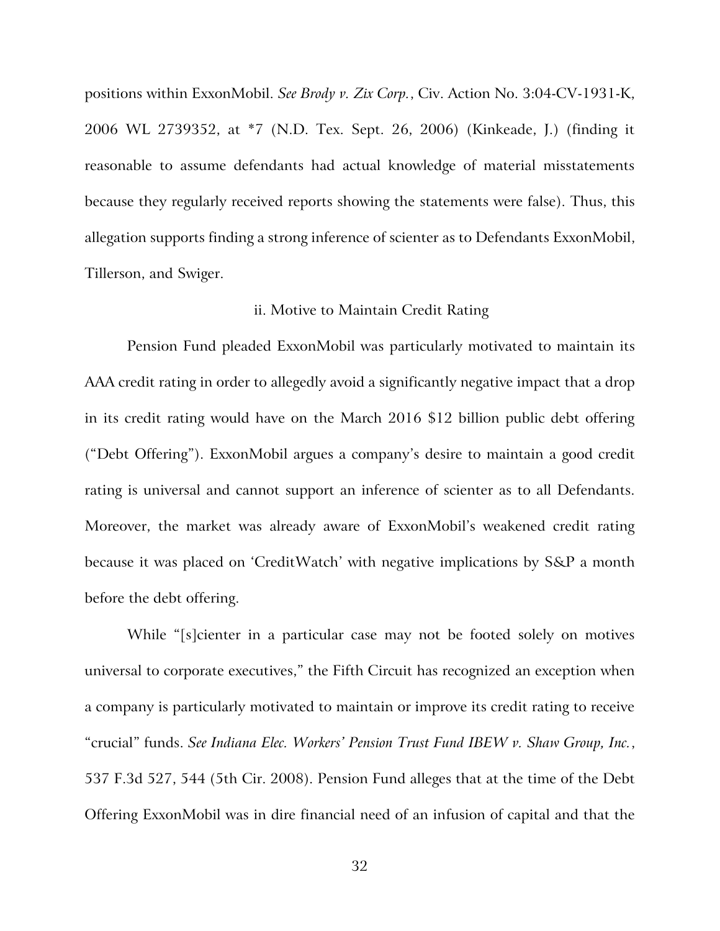positions within ExxonMobil. *See Brody v. Zix Corp.*, Civ. Action No. 3:04-CV-1931-K, 2006 WL 2739352, at \*7 (N.D. Tex. Sept. 26, 2006) (Kinkeade, J.) (finding it reasonable to assume defendants had actual knowledge of material misstatements because they regularly received reports showing the statements were false). Thus, this allegation supports finding a strong inference of scienter as to Defendants ExxonMobil, Tillerson, and Swiger.

# ii. Motive to Maintain Credit Rating

Pension Fund pleaded ExxonMobil was particularly motivated to maintain its AAA credit rating in order to allegedly avoid a significantly negative impact that a drop in its credit rating would have on the March 2016 \$12 billion public debt offering ("Debt Offering"). ExxonMobil argues a company's desire to maintain a good credit rating is universal and cannot support an inference of scienter as to all Defendants. Moreover, the market was already aware of ExxonMobil's weakened credit rating because it was placed on 'CreditWatch' with negative implications by S&P a month before the debt offering.

While "[s]cienter in a particular case may not be footed solely on motives universal to corporate executives," the Fifth Circuit has recognized an exception when a company is particularly motivated to maintain or improve its credit rating to receive "crucial" funds. *See Indiana Elec. Workers' Pension Trust Fund IBEW v. Shaw Group, Inc.*, 537 F.3d 527, 544 (5th Cir. 2008). Pension Fund alleges that at the time of the Debt Offering ExxonMobil was in dire financial need of an infusion of capital and that the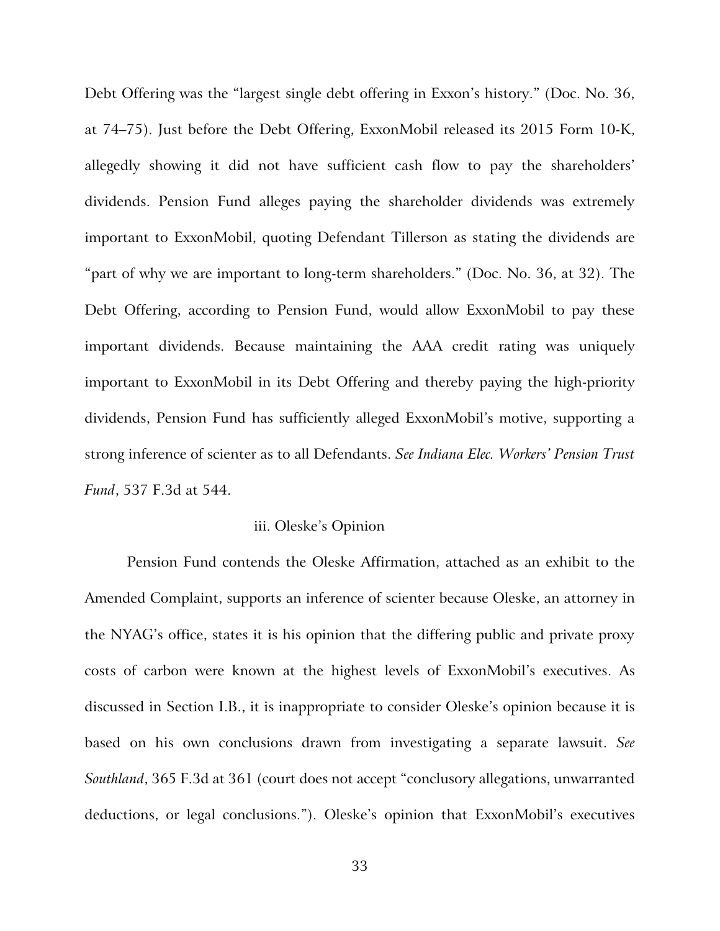Debt Offering was the "largest single debt offering in Exxon's history." (Doc. No. 36, at 74–75). Just before the Debt Offering, ExxonMobil released its 2015 Form 10-K, allegedly showing it did not have sufficient cash flow to pay the shareholders' dividends. Pension Fund alleges paying the shareholder dividends was extremely important to ExxonMobil, quoting Defendant Tillerson as stating the dividends are "part of why we are important to long-term shareholders." (Doc. No. 36, at 32). The Debt Offering, according to Pension Fund, would allow ExxonMobil to pay these important dividends. Because maintaining the AAA credit rating was uniquely important to ExxonMobil in its Debt Offering and thereby paying the high-priority dividends, Pension Fund has sufficiently alleged ExxonMobil's motive, supporting a strong inference of scienter as to all Defendants. *See Indiana Elec. Workers' Pension Trust Fund*, 537 F.3d at 544.

# iii. Oleske's Opinion

Pension Fund contends the Oleske Affirmation, attached as an exhibit to the Amended Complaint, supports an inference of scienter because Oleske, an attorney in the NYAG's office, states it is his opinion that the differing public and private proxy costs of carbon were known at the highest levels of ExxonMobil's executives. As discussed in Section I.B., it is inappropriate to consider Oleske's opinion because it is based on his own conclusions drawn from investigating a separate lawsuit. *See Southland*, 365 F.3d at 361 (court does not accept "conclusory allegations, unwarranted deductions, or legal conclusions."). Oleske's opinion that ExxonMobil's executives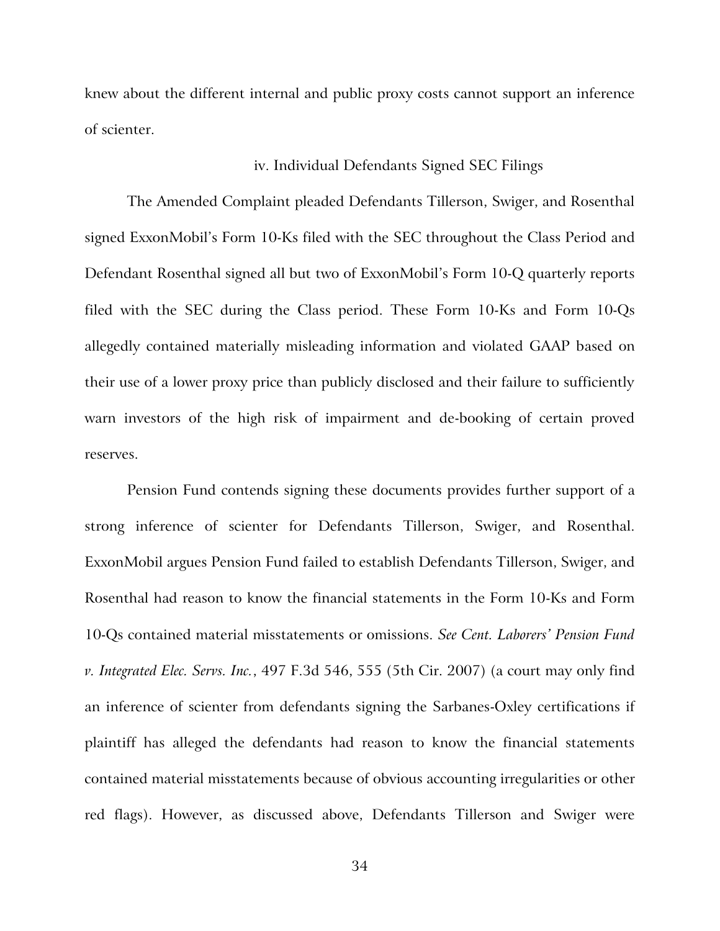knew about the different internal and public proxy costs cannot support an inference of scienter.

#### iv. Individual Defendants Signed SEC Filings

The Amended Complaint pleaded Defendants Tillerson, Swiger, and Rosenthal signed ExxonMobil's Form 10-Ks filed with the SEC throughout the Class Period and Defendant Rosenthal signed all but two of ExxonMobil's Form 10-Q quarterly reports filed with the SEC during the Class period. These Form 10-Ks and Form 10-Qs allegedly contained materially misleading information and violated GAAP based on their use of a lower proxy price than publicly disclosed and their failure to sufficiently warn investors of the high risk of impairment and de-booking of certain proved reserves.

Pension Fund contends signing these documents provides further support of a strong inference of scienter for Defendants Tillerson, Swiger, and Rosenthal. ExxonMobil argues Pension Fund failed to establish Defendants Tillerson, Swiger, and Rosenthal had reason to know the financial statements in the Form 10-Ks and Form 10-Qs contained material misstatements or omissions. *See Cent. Laborers' Pension Fund v. Integrated Elec. Servs. Inc.*, 497 F.3d 546, 555 (5th Cir. 2007) (a court may only find an inference of scienter from defendants signing the Sarbanes-Oxley certifications if plaintiff has alleged the defendants had reason to know the financial statements contained material misstatements because of obvious accounting irregularities or other red flags). However, as discussed above, Defendants Tillerson and Swiger were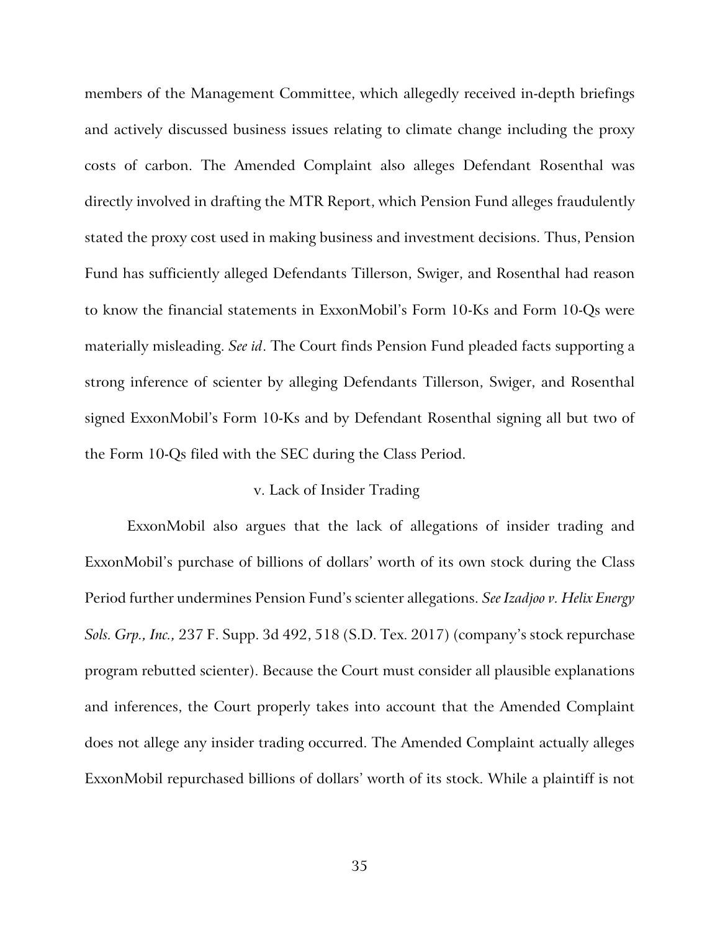members of the Management Committee, which allegedly received in-depth briefings and actively discussed business issues relating to climate change including the proxy costs of carbon. The Amended Complaint also alleges Defendant Rosenthal was directly involved in drafting the MTR Report, which Pension Fund alleges fraudulently stated the proxy cost used in making business and investment decisions. Thus, Pension Fund has sufficiently alleged Defendants Tillerson, Swiger, and Rosenthal had reason to know the financial statements in ExxonMobil's Form 10-Ks and Form 10-Qs were materially misleading. *See id*. The Court finds Pension Fund pleaded facts supporting a strong inference of scienter by alleging Defendants Tillerson, Swiger, and Rosenthal signed ExxonMobil's Form 10-Ks and by Defendant Rosenthal signing all but two of the Form 10-Qs filed with the SEC during the Class Period.

# v. Lack of Insider Trading

ExxonMobil also argues that the lack of allegations of insider trading and ExxonMobil's purchase of billions of dollars' worth of its own stock during the Class Period further undermines Pension Fund's scienter allegations. *See Izadjoo v. Helix Energy Sols. Grp., Inc.,* 237 F. Supp. 3d 492, 518 (S.D. Tex. 2017) (company's stock repurchase program rebutted scienter). Because the Court must consider all plausible explanations and inferences, the Court properly takes into account that the Amended Complaint does not allege any insider trading occurred. The Amended Complaint actually alleges ExxonMobil repurchased billions of dollars' worth of its stock. While a plaintiff is not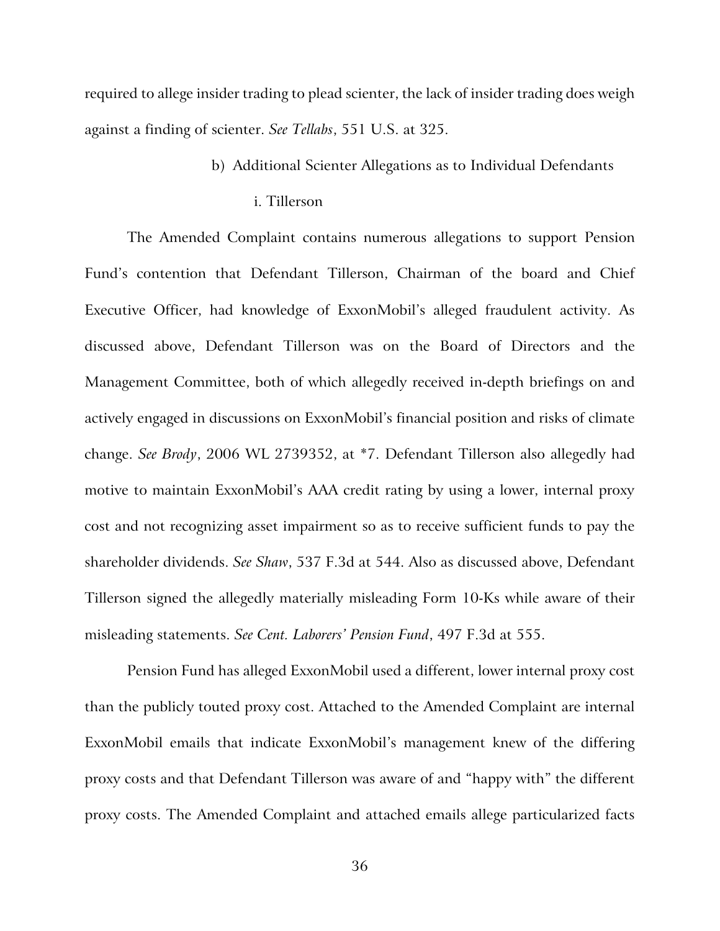required to allege insider trading to plead scienter, the lack of insider trading does weigh against a finding of scienter. *See Tellabs*, 551 U.S. at 325.

- b) Additional Scienter Allegations as to Individual Defendants
	- i. Tillerson

The Amended Complaint contains numerous allegations to support Pension Fund's contention that Defendant Tillerson, Chairman of the board and Chief Executive Officer, had knowledge of ExxonMobil's alleged fraudulent activity. As discussed above, Defendant Tillerson was on the Board of Directors and the Management Committee, both of which allegedly received in-depth briefings on and actively engaged in discussions on ExxonMobil's financial position and risks of climate change. *See Brody*, 2006 WL 2739352, at \*7. Defendant Tillerson also allegedly had motive to maintain ExxonMobil's AAA credit rating by using a lower, internal proxy cost and not recognizing asset impairment so as to receive sufficient funds to pay the shareholder dividends. *See Shaw*, 537 F.3d at 544. Also as discussed above, Defendant Tillerson signed the allegedly materially misleading Form 10-Ks while aware of their misleading statements. *See Cent. Laborers' Pension Fund*, 497 F.3d at 555.

Pension Fund has alleged ExxonMobil used a different, lower internal proxy cost than the publicly touted proxy cost. Attached to the Amended Complaint are internal ExxonMobil emails that indicate ExxonMobil's management knew of the differing proxy costs and that Defendant Tillerson was aware of and "happy with" the different proxy costs. The Amended Complaint and attached emails allege particularized facts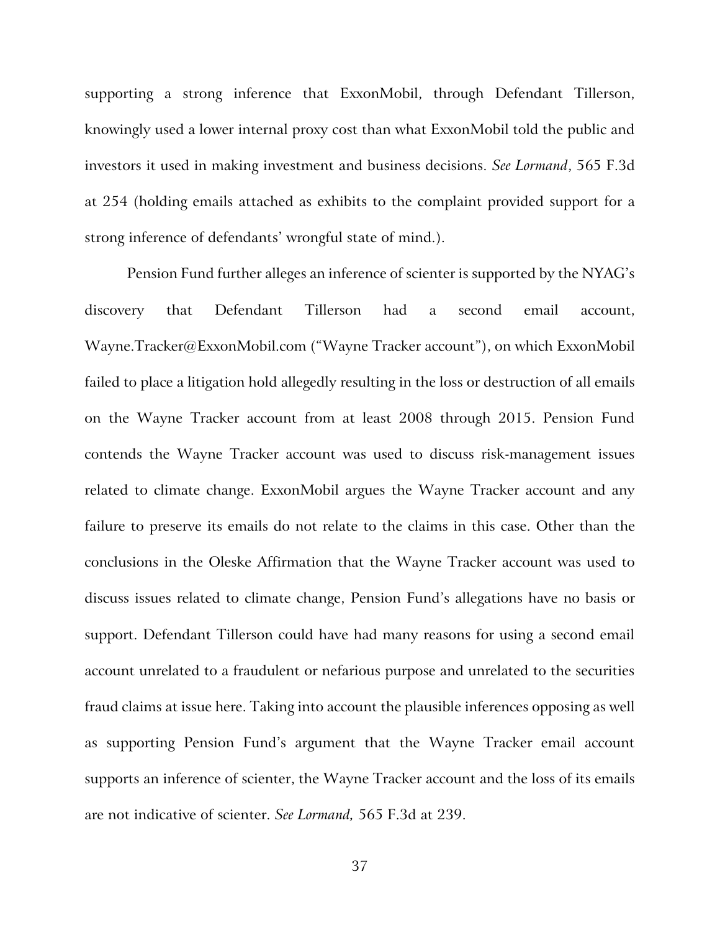supporting a strong inference that ExxonMobil, through Defendant Tillerson, knowingly used a lower internal proxy cost than what ExxonMobil told the public and investors it used in making investment and business decisions. *See Lormand*, 565 F.3d at 254 (holding emails attached as exhibits to the complaint provided support for a strong inference of defendants' wrongful state of mind.).

Pension Fund further alleges an inference of scienter is supported by the NYAG's discovery that Defendant Tillerson had a second email account, Wayne.Tracker@ExxonMobil.com ("Wayne Tracker account"), on which ExxonMobil failed to place a litigation hold allegedly resulting in the loss or destruction of all emails on the Wayne Tracker account from at least 2008 through 2015. Pension Fund contends the Wayne Tracker account was used to discuss risk-management issues related to climate change. ExxonMobil argues the Wayne Tracker account and any failure to preserve its emails do not relate to the claims in this case. Other than the conclusions in the Oleske Affirmation that the Wayne Tracker account was used to discuss issues related to climate change, Pension Fund's allegations have no basis or support. Defendant Tillerson could have had many reasons for using a second email account unrelated to a fraudulent or nefarious purpose and unrelated to the securities fraud claims at issue here. Taking into account the plausible inferences opposing as well as supporting Pension Fund's argument that the Wayne Tracker email account supports an inference of scienter, the Wayne Tracker account and the loss of its emails are not indicative of scienter. *See Lormand,* 565 F.3d at 239.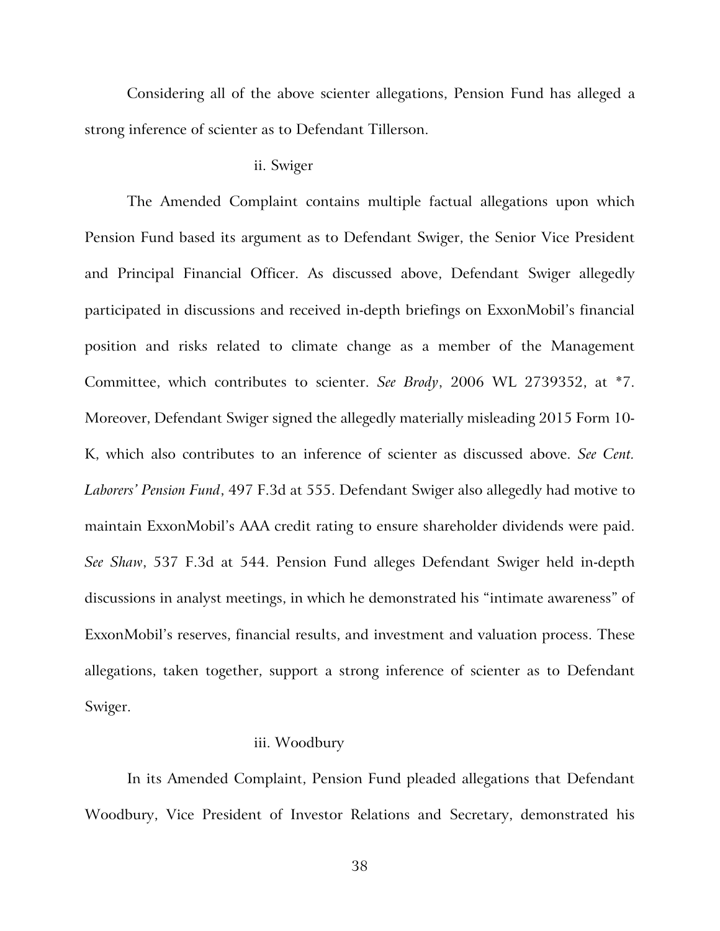Considering all of the above scienter allegations, Pension Fund has alleged a strong inference of scienter as to Defendant Tillerson.

#### ii. Swiger

The Amended Complaint contains multiple factual allegations upon which Pension Fund based its argument as to Defendant Swiger, the Senior Vice President and Principal Financial Officer. As discussed above, Defendant Swiger allegedly participated in discussions and received in-depth briefings on ExxonMobil's financial position and risks related to climate change as a member of the Management Committee, which contributes to scienter. *See Brody*, 2006 WL 2739352, at \*7. Moreover, Defendant Swiger signed the allegedly materially misleading 2015 Form 10- K, which also contributes to an inference of scienter as discussed above. *See Cent. Laborers' Pension Fund*, 497 F.3d at 555. Defendant Swiger also allegedly had motive to maintain ExxonMobil's AAA credit rating to ensure shareholder dividends were paid. *See Shaw*, 537 F.3d at 544. Pension Fund alleges Defendant Swiger held in-depth discussions in analyst meetings, in which he demonstrated his "intimate awareness" of ExxonMobil's reserves, financial results, and investment and valuation process. These allegations, taken together, support a strong inference of scienter as to Defendant Swiger.

## iii. Woodbury

In its Amended Complaint, Pension Fund pleaded allegations that Defendant Woodbury, Vice President of Investor Relations and Secretary, demonstrated his

38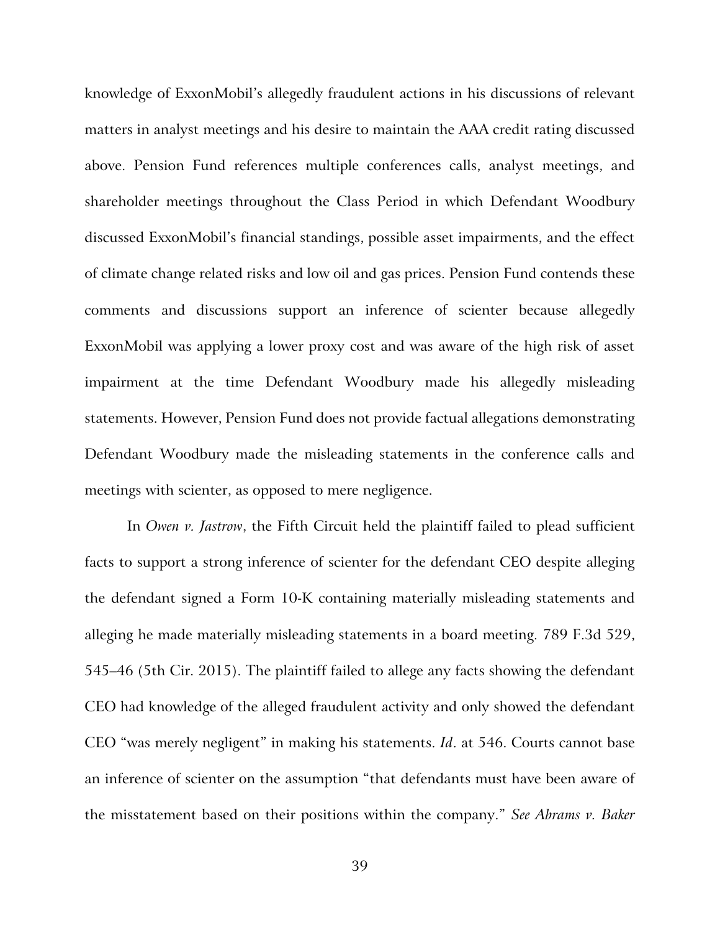knowledge of ExxonMobil's allegedly fraudulent actions in his discussions of relevant matters in analyst meetings and his desire to maintain the AAA credit rating discussed above. Pension Fund references multiple conferences calls, analyst meetings, and shareholder meetings throughout the Class Period in which Defendant Woodbury discussed ExxonMobil's financial standings, possible asset impairments, and the effect of climate change related risks and low oil and gas prices. Pension Fund contends these comments and discussions support an inference of scienter because allegedly ExxonMobil was applying a lower proxy cost and was aware of the high risk of asset impairment at the time Defendant Woodbury made his allegedly misleading statements. However, Pension Fund does not provide factual allegations demonstrating Defendant Woodbury made the misleading statements in the conference calls and meetings with scienter, as opposed to mere negligence.

In *Owen v. Jastrow*, the Fifth Circuit held the plaintiff failed to plead sufficient facts to support a strong inference of scienter for the defendant CEO despite alleging the defendant signed a Form 10-K containing materially misleading statements and alleging he made materially misleading statements in a board meeting. 789 F.3d 529, 545–46 (5th Cir. 2015). The plaintiff failed to allege any facts showing the defendant CEO had knowledge of the alleged fraudulent activity and only showed the defendant CEO "was merely negligent" in making his statements. *Id*. at 546. Courts cannot base an inference of scienter on the assumption "that defendants must have been aware of the misstatement based on their positions within the company." *See Abrams v. Baker*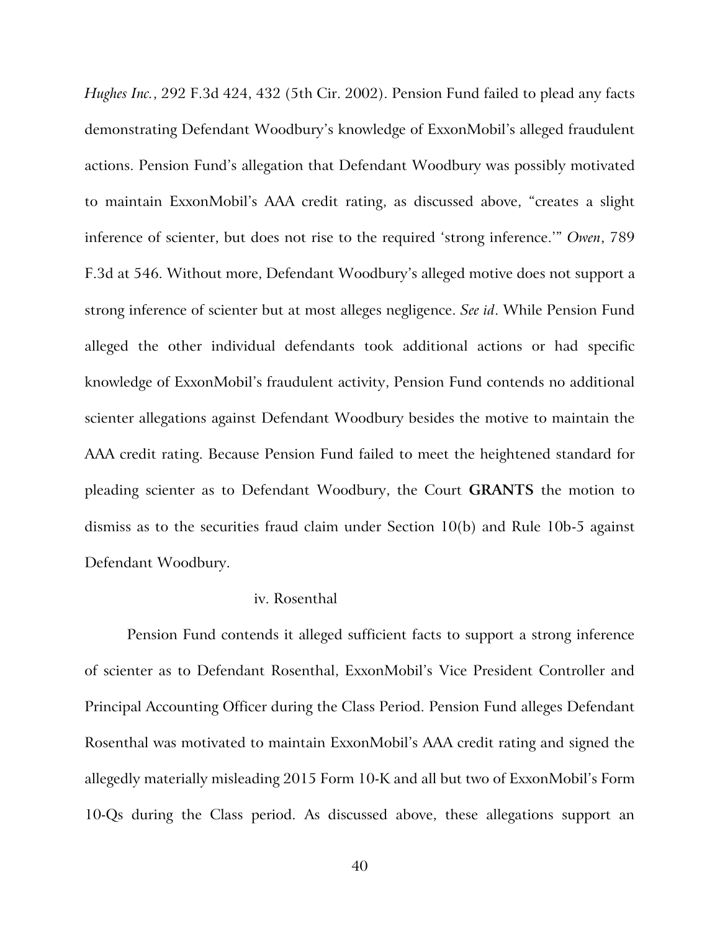*Hughes Inc.*, 292 F.3d 424, 432 (5th Cir. 2002). Pension Fund failed to plead any facts demonstrating Defendant Woodbury's knowledge of ExxonMobil's alleged fraudulent actions. Pension Fund's allegation that Defendant Woodbury was possibly motivated to maintain ExxonMobil's AAA credit rating, as discussed above, "creates a slight inference of scienter, but does not rise to the required 'strong inference.'" *Owen*, 789 F.3d at 546. Without more, Defendant Woodbury's alleged motive does not support a strong inference of scienter but at most alleges negligence. *See id*. While Pension Fund alleged the other individual defendants took additional actions or had specific knowledge of ExxonMobil's fraudulent activity, Pension Fund contends no additional scienter allegations against Defendant Woodbury besides the motive to maintain the AAA credit rating. Because Pension Fund failed to meet the heightened standard for pleading scienter as to Defendant Woodbury, the Court **GRANTS** the motion to dismiss as to the securities fraud claim under Section 10(b) and Rule 10b-5 against Defendant Woodbury.

# iv. Rosenthal

Pension Fund contends it alleged sufficient facts to support a strong inference of scienter as to Defendant Rosenthal, ExxonMobil's Vice President Controller and Principal Accounting Officer during the Class Period. Pension Fund alleges Defendant Rosenthal was motivated to maintain ExxonMobil's AAA credit rating and signed the allegedly materially misleading 2015 Form 10-K and all but two of ExxonMobil's Form 10-Qs during the Class period. As discussed above, these allegations support an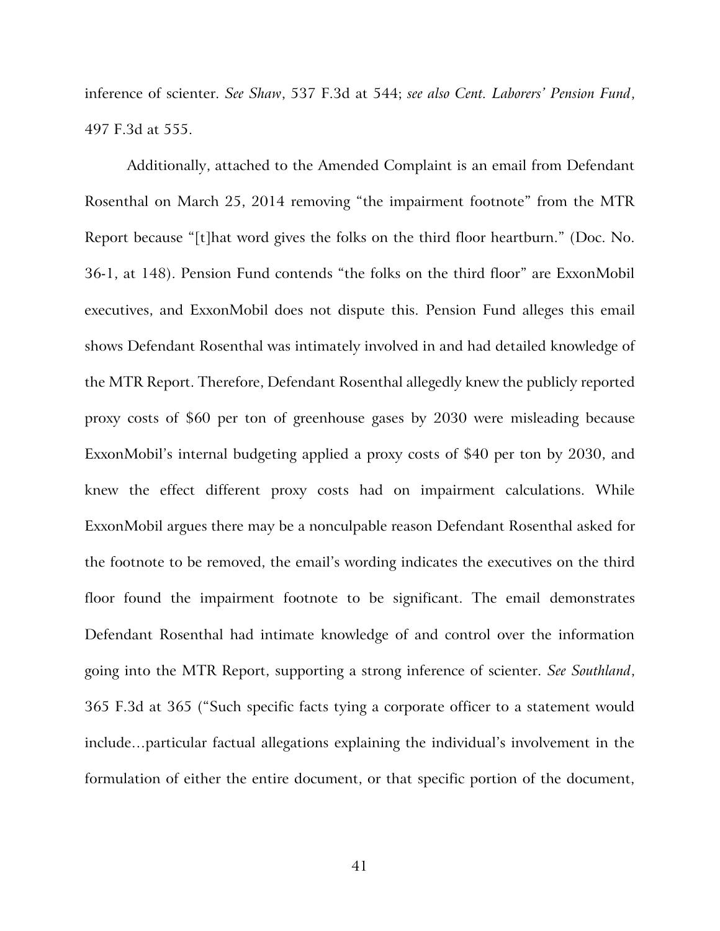inference of scienter. *See Shaw*, 537 F.3d at 544; *see also Cent. Laborers' Pension Fund*, 497 F.3d at 555.

Additionally, attached to the Amended Complaint is an email from Defendant Rosenthal on March 25, 2014 removing "the impairment footnote" from the MTR Report because "[t]hat word gives the folks on the third floor heartburn." (Doc. No. 36-1, at 148). Pension Fund contends "the folks on the third floor" are ExxonMobil executives, and ExxonMobil does not dispute this. Pension Fund alleges this email shows Defendant Rosenthal was intimately involved in and had detailed knowledge of the MTR Report. Therefore, Defendant Rosenthal allegedly knew the publicly reported proxy costs of \$60 per ton of greenhouse gases by 2030 were misleading because ExxonMobil's internal budgeting applied a proxy costs of \$40 per ton by 2030, and knew the effect different proxy costs had on impairment calculations. While ExxonMobil argues there may be a nonculpable reason Defendant Rosenthal asked for the footnote to be removed, the email's wording indicates the executives on the third floor found the impairment footnote to be significant. The email demonstrates Defendant Rosenthal had intimate knowledge of and control over the information going into the MTR Report, supporting a strong inference of scienter. *See Southland*, 365 F.3d at 365 ("Such specific facts tying a corporate officer to a statement would include…particular factual allegations explaining the individual's involvement in the formulation of either the entire document, or that specific portion of the document,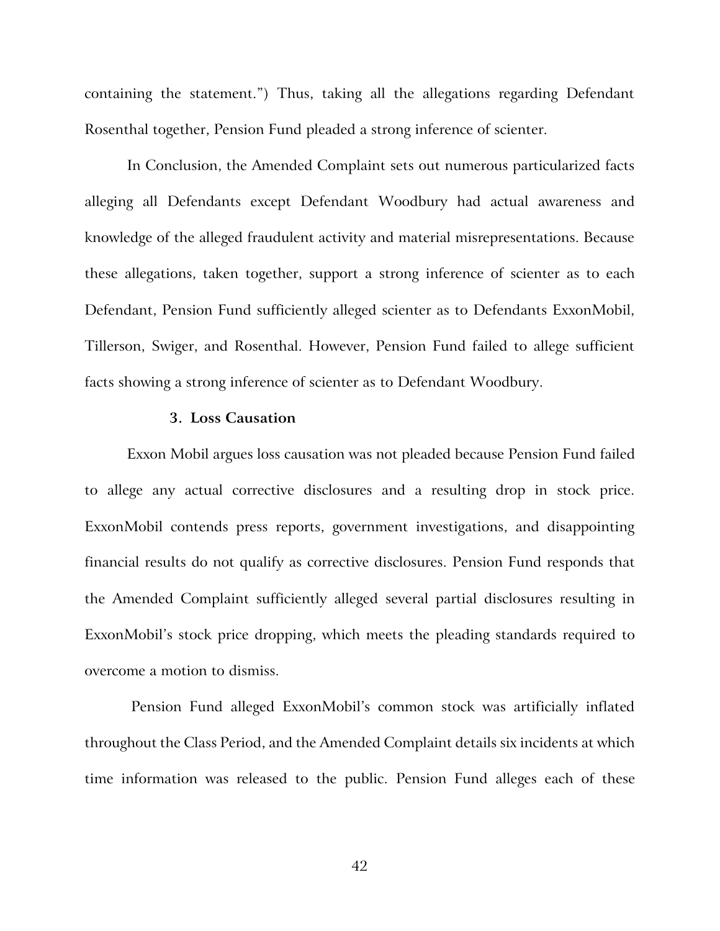containing the statement.") Thus, taking all the allegations regarding Defendant Rosenthal together, Pension Fund pleaded a strong inference of scienter.

In Conclusion, the Amended Complaint sets out numerous particularized facts alleging all Defendants except Defendant Woodbury had actual awareness and knowledge of the alleged fraudulent activity and material misrepresentations. Because these allegations, taken together, support a strong inference of scienter as to each Defendant, Pension Fund sufficiently alleged scienter as to Defendants ExxonMobil, Tillerson, Swiger, and Rosenthal. However, Pension Fund failed to allege sufficient facts showing a strong inference of scienter as to Defendant Woodbury.

# **3. Loss Causation**

Exxon Mobil argues loss causation was not pleaded because Pension Fund failed to allege any actual corrective disclosures and a resulting drop in stock price. ExxonMobil contends press reports, government investigations, and disappointing financial results do not qualify as corrective disclosures. Pension Fund responds that the Amended Complaint sufficiently alleged several partial disclosures resulting in ExxonMobil's stock price dropping, which meets the pleading standards required to overcome a motion to dismiss.

Pension Fund alleged ExxonMobil's common stock was artificially inflated throughout the Class Period, and the Amended Complaint details six incidents at which time information was released to the public. Pension Fund alleges each of these

42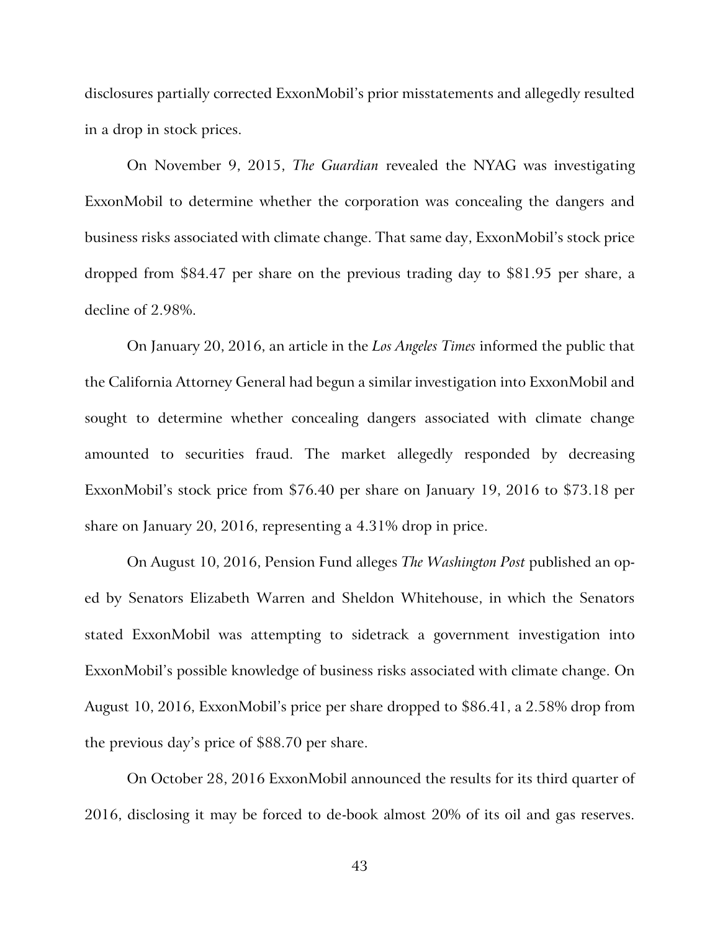disclosures partially corrected ExxonMobil's prior misstatements and allegedly resulted in a drop in stock prices.

On November 9, 2015, *The Guardian* revealed the NYAG was investigating ExxonMobil to determine whether the corporation was concealing the dangers and business risks associated with climate change. That same day, ExxonMobil's stock price dropped from \$84.47 per share on the previous trading day to \$81.95 per share, a decline of 2.98%.

On January 20, 2016, an article in the *Los Angeles Times* informed the public that the California Attorney General had begun a similar investigation into ExxonMobil and sought to determine whether concealing dangers associated with climate change amounted to securities fraud. The market allegedly responded by decreasing ExxonMobil's stock price from \$76.40 per share on January 19, 2016 to \$73.18 per share on January 20, 2016, representing a 4.31% drop in price.

On August 10, 2016, Pension Fund alleges *The Washington Post* published an oped by Senators Elizabeth Warren and Sheldon Whitehouse, in which the Senators stated ExxonMobil was attempting to sidetrack a government investigation into ExxonMobil's possible knowledge of business risks associated with climate change. On August 10, 2016, ExxonMobil's price per share dropped to \$86.41, a 2.58% drop from the previous day's price of \$88.70 per share.

On October 28, 2016 ExxonMobil announced the results for its third quarter of 2016, disclosing it may be forced to de-book almost 20% of its oil and gas reserves.

43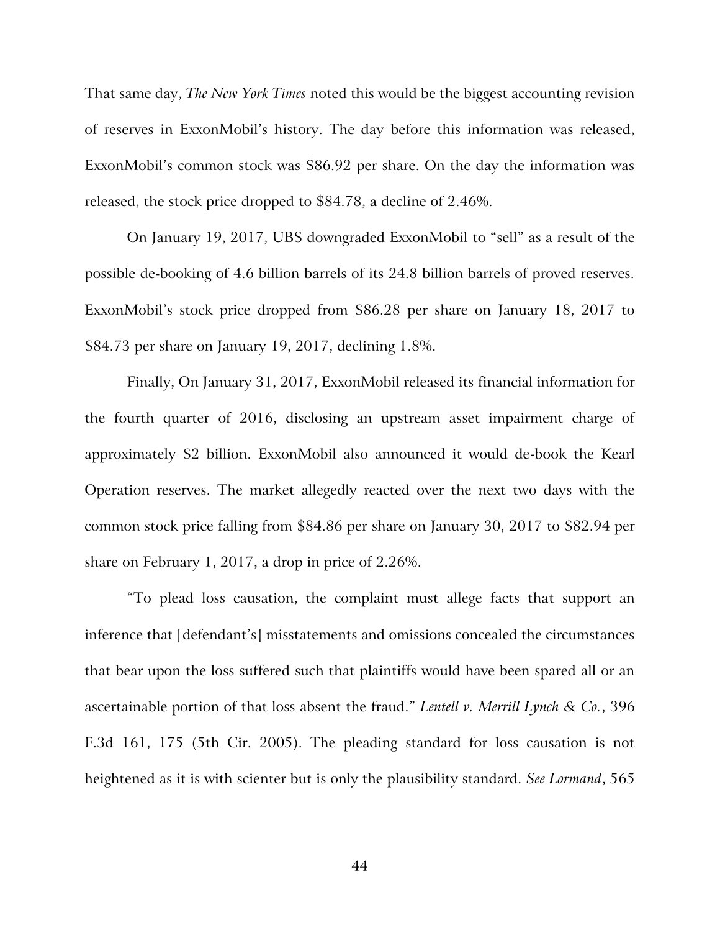That same day, *The New York Times* noted this would be the biggest accounting revision of reserves in ExxonMobil's history. The day before this information was released, ExxonMobil's common stock was \$86.92 per share. On the day the information was released, the stock price dropped to \$84.78, a decline of 2.46%.

On January 19, 2017, UBS downgraded ExxonMobil to "sell" as a result of the possible de-booking of 4.6 billion barrels of its 24.8 billion barrels of proved reserves. ExxonMobil's stock price dropped from \$86.28 per share on January 18, 2017 to \$84.73 per share on January 19, 2017, declining 1.8%.

Finally, On January 31, 2017, ExxonMobil released its financial information for the fourth quarter of 2016, disclosing an upstream asset impairment charge of approximately \$2 billion. ExxonMobil also announced it would de-book the Kearl Operation reserves. The market allegedly reacted over the next two days with the common stock price falling from \$84.86 per share on January 30, 2017 to \$82.94 per share on February 1, 2017, a drop in price of 2.26%.

"To plead loss causation, the complaint must allege facts that support an inference that [defendant's] misstatements and omissions concealed the circumstances that bear upon the loss suffered such that plaintiffs would have been spared all or an ascertainable portion of that loss absent the fraud." *Lentell v. Merrill Lynch & Co.*, 396 F.3d 161, 175 (5th Cir. 2005). The pleading standard for loss causation is not heightened as it is with scienter but is only the plausibility standard. *See Lormand*, 565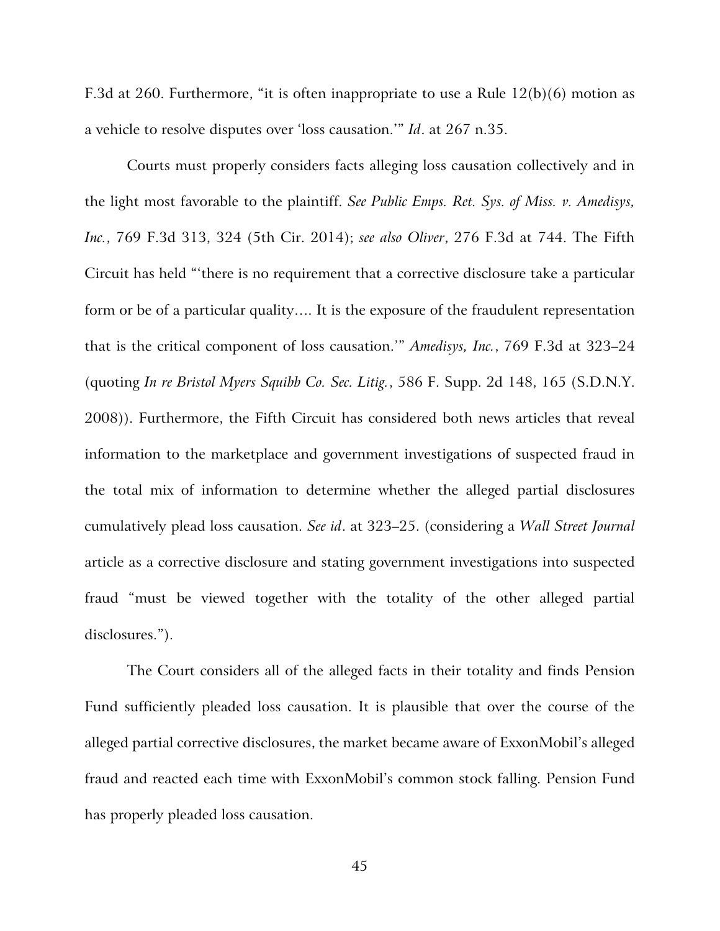F.3d at 260. Furthermore, "it is often inappropriate to use a Rule  $12(b)(6)$  motion as a vehicle to resolve disputes over 'loss causation.'" *Id*. at 267 n.35.

Courts must properly considers facts alleging loss causation collectively and in the light most favorable to the plaintiff. *See Public Emps. Ret. Sys. of Miss. v. Amedisys, Inc.*, 769 F.3d 313, 324 (5th Cir. 2014); *see also Oliver*, 276 F.3d at 744. The Fifth Circuit has held "'there is no requirement that a corrective disclosure take a particular form or be of a particular quality…. It is the exposure of the fraudulent representation that is the critical component of loss causation.'" *Amedisys, Inc.*, 769 F.3d at 323–24 (quoting *In re Bristol Myers Squibb Co. Sec. Litig.*, 586 F. Supp. 2d 148, 165 (S.D.N.Y. 2008)). Furthermore, the Fifth Circuit has considered both news articles that reveal information to the marketplace and government investigations of suspected fraud in the total mix of information to determine whether the alleged partial disclosures cumulatively plead loss causation. *See id*. at 323–25. (considering a *Wall Street Journal*  article as a corrective disclosure and stating government investigations into suspected fraud "must be viewed together with the totality of the other alleged partial disclosures.").

The Court considers all of the alleged facts in their totality and finds Pension Fund sufficiently pleaded loss causation. It is plausible that over the course of the alleged partial corrective disclosures, the market became aware of ExxonMobil's alleged fraud and reacted each time with ExxonMobil's common stock falling. Pension Fund has properly pleaded loss causation.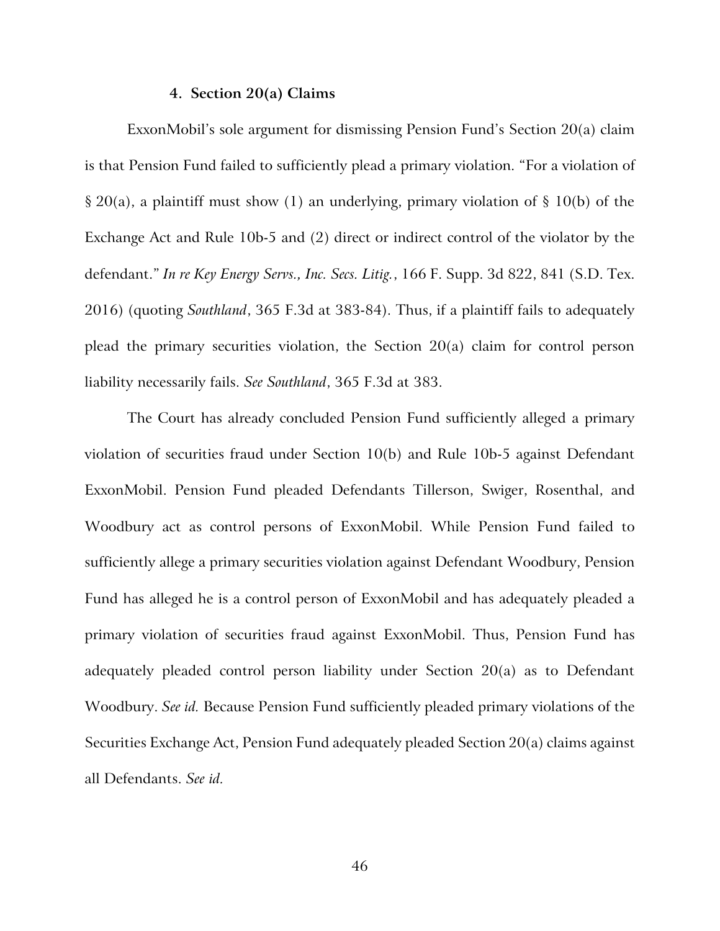## **4. Section 20(a) Claims**

ExxonMobil's sole argument for dismissing Pension Fund's Section 20(a) claim is that Pension Fund failed to sufficiently plead a primary violation. "For a violation of § 20(a), a plaintiff must show (1) an underlying, primary violation of § 10(b) of the Exchange Act and Rule 10b-5 and (2) direct or indirect control of the violator by the defendant." *In re Key Energy Servs., Inc. Secs. Litig.*, 166 F. Supp. 3d 822, 841 (S.D. Tex. 2016) (quoting *Southland*, 365 F.3d at 383-84). Thus, if a plaintiff fails to adequately plead the primary securities violation, the Section 20(a) claim for control person liability necessarily fails. *See Southland*, 365 F.3d at 383.

The Court has already concluded Pension Fund sufficiently alleged a primary violation of securities fraud under Section 10(b) and Rule 10b-5 against Defendant ExxonMobil. Pension Fund pleaded Defendants Tillerson, Swiger, Rosenthal, and Woodbury act as control persons of ExxonMobil. While Pension Fund failed to sufficiently allege a primary securities violation against Defendant Woodbury, Pension Fund has alleged he is a control person of ExxonMobil and has adequately pleaded a primary violation of securities fraud against ExxonMobil. Thus, Pension Fund has adequately pleaded control person liability under Section 20(a) as to Defendant Woodbury. *See id.* Because Pension Fund sufficiently pleaded primary violations of the Securities Exchange Act, Pension Fund adequately pleaded Section 20(a) claims against all Defendants. *See id.*